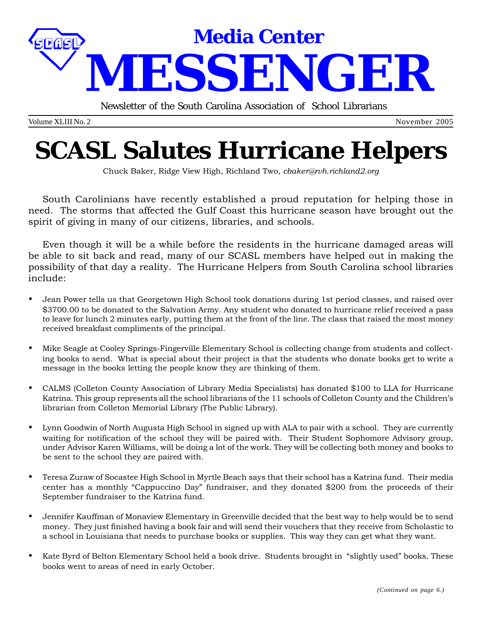

Newsletter of the South Carolina Association of School Librarians

Volume XLIII No. 2 November 2005

## **SCASL Salutes Hurricane Helpers**

Chuck Baker, Ridge View High, Richland Two, *cbaker@rvh.richland2.org*

South Carolinians have recently established a proud reputation for helping those in need. The storms that affected the Gulf Coast this hurricane season have brought out the spirit of giving in many of our citizens, libraries, and schools.

Even though it will be a while before the residents in the hurricane damaged areas will be able to sit back and read, many of our SCASL members have helped out in making the possibility of that day a reality. The Hurricane Helpers from South Carolina school libraries include:

- Jean Power tells us that Georgetown High School took donations during 1st period classes, and raised over \$3700.00 to be donated to the Salvation Army. Any student who donated to hurricane relief received a pass to leave for lunch 2 minutes early, putting them at the front of the line. The class that raised the most money received breakfast compliments of the principal.
- Mike Seagle at Cooley Springs-Fingerville Elementary School is collecting change from students and collecting books to send. What is special about their project is that the students who donate books get to write a message in the books letting the people know they are thinking of them.
- CALMS (Colleton County Association of Library Media Specialists) has donated \$100 to LLA for Hurricane Katrina. This group represents all the school librarians of the 11 schools of Colleton County and the Children's librarian from Colleton Memorial Library (The Public Library).
- Lynn Goodwin of North Augusta High School in signed up with ALA to pair with a school. They are currently waiting for notification of the school they will be paired with. Their Student Sophomore Advisory group, under Advisor Karen Williams, will be doing a lot of the work. They will be collecting both money and books to be sent to the school they are paired with.
- Teresa Zuraw of Socastee High School in Myrtle Beach says that their school has a Katrina fund. Their media center has a monthly "Cappuccino Day" fundraiser, and they donated \$200 from the proceeds of their September fundraiser to the Katrina fund.
- Jennifer Kauffman of Monaview Elementary in Greenville decided that the best way to help would be to send money. They just finished having a book fair and will send their vouchers that they receive from Scholastic to a school in Louisiana that needs to purchase books or supplies. This way they can get what they want.
- Kate Byrd of Belton Elementary School held a book drive. Students brought in "slightly used" books. These books went to areas of need in early October.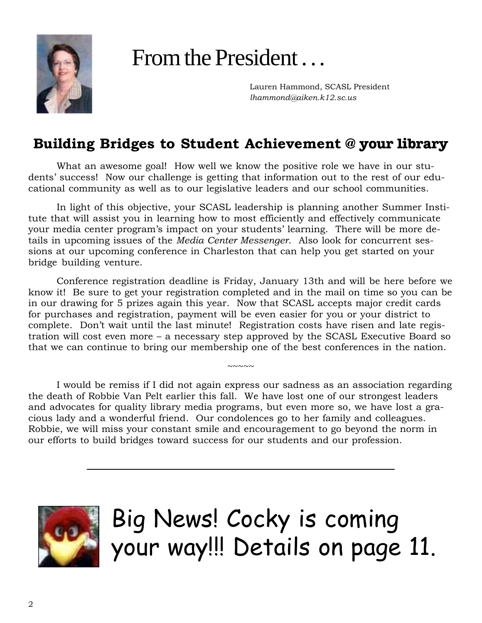

## From the President ...

Lauren Hammond, SCASL President *lhammond@aiken.k12.sc.us*

### **Building Bridges to Student Achievement @ your library**

What an awesome goal! How well we know the positive role we have in our students' success! Now our challenge is getting that information out to the rest of our educational community as well as to our legislative leaders and our school communities.

In light of this objective, your SCASL leadership is planning another Summer Institute that will assist you in learning how to most efficiently and effectively communicate your media center program's impact on your students' learning. There will be more details in upcoming issues of the *Media Center Messenger*. Also look for concurrent sessions at our upcoming conference in Charleston that can help you get started on your bridge building venture.

Conference registration deadline is Friday, January 13th and will be here before we know it! Be sure to get your registration completed and in the mail on time so you can be in our drawing for 5 prizes again this year. Now that SCASL accepts major credit cards for purchases and registration, payment will be even easier for you or your district to complete. Don't wait until the last minute! Registration costs have risen and late registration will cost even more – a necessary step approved by the SCASL Executive Board so that we can continue to bring our membership one of the best conferences in the nation.

I would be remiss if I did not again express our sadness as an association regarding the death of Robbie Van Pelt earlier this fall. We have lost one of our strongest leaders and advocates for quality library media programs, but even more so, we have lost a gracious lady and a wonderful friend. Our condolences go to her family and colleagues. Robbie, we will miss your constant smile and encouragement to go beyond the norm in our efforts to build bridges toward success for our students and our profession.

 $\sim\sim\sim\sim\sim$ 



Big News! Cocky is coming your way!!! Details on page 11.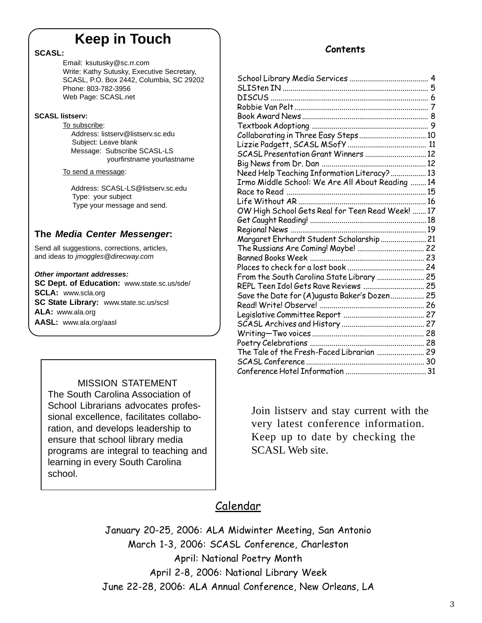### **Keep in Touch**

#### **SCASL:**

Email: ksutusky@sc.rr.com Write: Kathy Sutusky, Executive Secretary, SCASL, P.O. Box 2442, Columbia, SC 29202 Phone: 803-782-3956 Web Page: SCASL.net

**SCASL listserv:**

To subscribe: Address: listserv@listserv.sc.edu Subject: Leave blank Message: Subscribe SCASL-LS yourfirstname yourlastname

To send a message:

 Address: SCASL-LS@listserv.sc.edu Type: your subject Type your message and send.

#### **The** *Media Center Messenger***:**

Send all suggestions, corrections, articles, and ideas to *jmoggles@direcway.com*

#### *Other important addresses:*

**SC Dept. of Education:** www.state.sc.us/sde/ **SCLA:** www.scla.org **SC State Library:** www.state.sc.us/scsl **ALA:** www.ala.org **AASL:** www.ala.org/aasl

#### MISSION STATEMENT

The South Carolina Association of School Librarians advocates professional excellence, facilitates collaboration, and develops leadership to ensure that school library media programs are integral to teaching and learning in every South Carolina school.

#### **Contents**

|                                                  | 4 |
|--------------------------------------------------|---|
|                                                  |   |
|                                                  |   |
|                                                  |   |
|                                                  |   |
|                                                  |   |
| Collaborating in Three Easy Steps 10             |   |
|                                                  |   |
| SCASL Presentation Grant Winners  12             |   |
|                                                  |   |
| Need Help Teaching Information Literacy? 13      |   |
| Irmo Middle School: We Are All About Reading  14 |   |
|                                                  |   |
|                                                  |   |
| OW High School Gets Real for Teen Read Week!  17 |   |
|                                                  |   |
| Regional News                                    |   |
| Margaret Ehrhardt Student Scholarship  21        |   |
|                                                  |   |
|                                                  |   |
|                                                  |   |
| From the South Carolina State Library  25        |   |
| REPL Teen Idol Gets Rave Reviews  25             |   |
| Save the Date for (A)ugusta Baker's Dozen 25     |   |
|                                                  |   |
|                                                  |   |
|                                                  |   |
|                                                  |   |
|                                                  |   |
| The Tale of the Fresh-Faced Librarian  29        |   |
|                                                  |   |
|                                                  |   |

Join listserv and stay current with the very latest conference information. Keep up to date by checking the SCASL Web site.

### Calendar

January 20-25, 2006: ALA Midwinter Meeting, San Antonio March 1-3, 2006: SCASL Conference, Charleston April: National Poetry Month April 2-8, 2006: National Library Week June 22-28, 2006: ALA Annual Conference, New Orleans, LA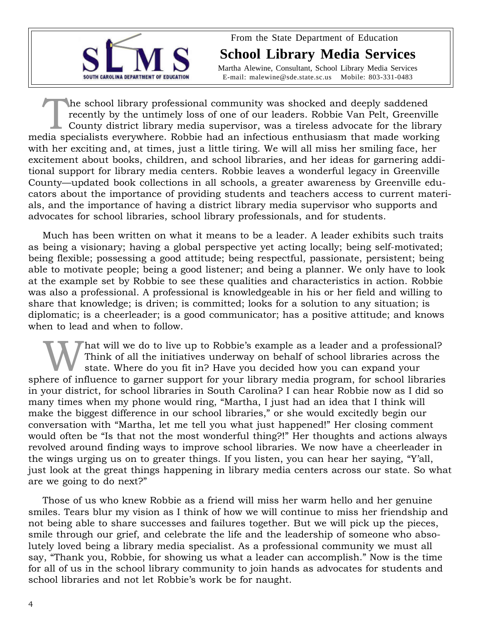

From the State Department of Education **School Library Media Services** Martha Alewine, Consultant, School Library Media Services

E-mail: malewine@sde.state.sc.us Mobile: 803-331-0483

The school library professional community was shocked and deeply saddened<br>recently by the untimely loss of one of our leaders. Robbie Van Pelt, Greenvi<br>County district library media supervisor, was a tireless advocate for recently by the untimely loss of one of our leaders. Robbie Van Pelt, Greenville County district library media supervisor, was a tireless advocate for the library media specialists everywhere. Robbie had an infectious enthusiasm that made working with her exciting and, at times, just a little tiring. We will all miss her smiling face, her excitement about books, children, and school libraries, and her ideas for garnering additional support for library media centers. Robbie leaves a wonderful legacy in Greenville County—updated book collections in all schools, a greater awareness by Greenville educators about the importance of providing students and teachers access to current materials, and the importance of having a district library media supervisor who supports and advocates for school libraries, school library professionals, and for students.

Much has been written on what it means to be a leader. A leader exhibits such traits as being a visionary; having a global perspective yet acting locally; being self-motivated; being flexible; possessing a good attitude; being respectful, passionate, persistent; being able to motivate people; being a good listener; and being a planner. We only have to look at the example set by Robbie to see these qualities and characteristics in action. Robbie was also a professional. A professional is knowledgeable in his or her field and willing to share that knowledge; is driven; is committed; looks for a solution to any situation; is diplomatic; is a cheerleader; is a good communicator; has a positive attitude; and knows when to lead and when to follow.

hat will we do to live up to Robbie's example as a leader and a professional? Think of all the initiatives underway on behalf of school libraries across the state. Where do you fit in? Have you decided how you can expand your sphere of influence to garner support for your library media program, for school libraries in your district, for school libraries in South Carolina? I can hear Robbie now as I did so many times when my phone would ring, "Martha, I just had an idea that I think will make the biggest difference in our school libraries," or she would excitedly begin our conversation with "Martha, let me tell you what just happened!" Her closing comment would often be "Is that not the most wonderful thing?!" Her thoughts and actions always revolved around finding ways to improve school libraries. We now have a cheerleader in the wings urging us on to greater things. If you listen, you can hear her saying, "Y'all, just look at the great things happening in library media centers across our state. So what are we going to do next?"

Those of us who knew Robbie as a friend will miss her warm hello and her genuine smiles. Tears blur my vision as I think of how we will continue to miss her friendship and not being able to share successes and failures together. But we will pick up the pieces, smile through our grief, and celebrate the life and the leadership of someone who absolutely loved being a library media specialist. As a professional community we must all say, "Thank you, Robbie, for showing us what a leader can accomplish." Now is the time for all of us in the school library community to join hands as advocates for students and school libraries and not let Robbie's work be for naught.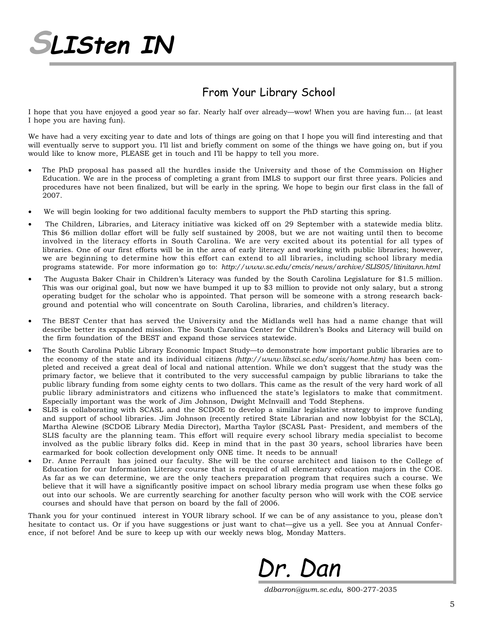# **SLISten IN**

### From Your Library School

I hope that you have enjoyed a good year so far. Nearly half over already—wow! When you are having fun… (at least I hope you are having fun).

We have had a very exciting year to date and lots of things are going on that I hope you will find interesting and that will eventually serve to support you. I'll list and briefly comment on some of the things we have going on, but if you would like to know more, PLEASE get in touch and I'll be happy to tell you more.

- The PhD proposal has passed all the hurdles inside the University and those of the Commission on Higher Education. We are in the process of completing a grant from IMLS to support our first three years. Policies and procedures have not been finalized, but will be early in the spring. We hope to begin our first class in the fall of 2007.
- We will begin looking for two additional faculty members to support the PhD starting this spring.
- The Children, Libraries, and Literacy initiative was kicked off on 29 September with a statewide media blitz. This \$6 million dollar effort will be fully self sustained by 2008, but we are not waiting until then to become involved in the literacy efforts in South Carolina. We are very excited about its potential for all types of libraries. One of our first efforts will be in the area of early literacy and working with public libraries; however, we are beginning to determine how this effort can extend to all libraries, including school library media programs statewide. For more information go to: *http://www.sc.edu/cmcis/news/archive/SLIS05/litinitann.html*
- The Augusta Baker Chair in Children's Literacy was funded by the South Carolina Legislature for \$1.5 million. This was our original goal, but now we have bumped it up to \$3 million to provide not only salary, but a strong operating budget for the scholar who is appointed. That person will be someone with a strong research background and potential who will concentrate on South Carolina, libraries, and children's literacy.
- The BEST Center that has served the University and the Midlands well has had a name change that will describe better its expanded mission. The South Carolina Center for Children's Books and Literacy will build on the firm foundation of the BEST and expand those services statewide.
- The South Carolina Public Library Economic Impact Study—to demonstrate how important public libraries are to the economy of the state and its individual citizens *(http://www.libsci.sc.edu/sceis/home.htm)* has been completed and received a great deal of local and national attention. While we don't suggest that the study was the primary factor, we believe that it contributed to the very successful campaign by public librarians to take the public library funding from some eighty cents to two dollars. This came as the result of the very hard work of all public library administrators and citizens who influenced the state's legislators to make that commitment. Especially important was the work of Jim Johnson, Dwight McInvaill and Todd Stephens.
- SLIS is collaborating with SCASL and the SCDOE to develop a similar legislative strategy to improve funding and support of school libraries. Jim Johnson (recently retired State Librarian and now lobbyist for the SCLA), Martha Alewine (SCDOE Library Media Director), Martha Taylor (SCASL Past- President, and members of the SLIS faculty are the planning team. This effort will require every school library media specialist to become involved as the public library folks did. Keep in mind that in the past 30 years, school libraries have been earmarked for book collection development only ONE time. It needs to be annual!
- Dr. Anne Perrault has joined our faculty. She will be the course architect and liaison to the College of Education for our Information Literacy course that is required of all elementary education majors in the COE. As far as we can determine, we are the only teachers preparation program that requires such a course. We believe that it will have a significantly positive impact on school library media program use when these folks go out into our schools. We are currently searching for another faculty person who will work with the COE service courses and should have that person on board by the fall of 2006.

Thank you for your continued interest in YOUR library school. If we can be of any assistance to you, please don't hesitate to contact us. Or if you have suggestions or just want to chat—give us a yell. See you at Annual Conference, if not before! And be sure to keep up with our weekly news blog, Monday Matters.

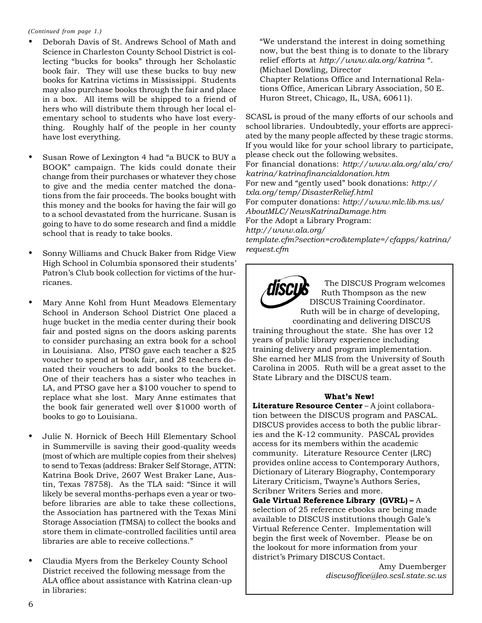#### *(Continued from page 1.)*

- Deborah Davis of St. Andrews School of Math and Science in Charleston County School District is collecting "bucks for books" through her Scholastic book fair. They will use these bucks to buy new books for Katrina victims in Mississippi. Students may also purchase books through the fair and place in a box. All items will be shipped to a friend of hers who will distribute them through her local elementary school to students who have lost everything. Roughly half of the people in her county have lost everything.
- Susan Rowe of Lexington 4 had "a BUCK to BUY a BOOK" campaign. The kids could donate their change from their purchases or whatever they chose to give and the media center matched the donations from the fair proceeds. The books bought with this money and the books for having the fair will go to a school devastated from the hurricane. Susan is going to have to do some research and find a middle school that is ready to take books.
- Sonny Williams and Chuck Baker from Ridge View High School in Columbia sponsored their students' Patron's Club book collection for victims of the hurricanes.
- Mary Anne Kohl from Hunt Meadows Elementary School in Anderson School District One placed a huge bucket in the media center during their book fair and posted signs on the doors asking parents to consider purchasing an extra book for a school in Louisiana. Also, PTSO gave each teacher a \$25 voucher to spend at book fair, and 28 teachers donated their vouchers to add books to the bucket. One of their teachers has a sister who teaches in LA, and PTSO gave her a \$100 voucher to spend to replace what she lost. Mary Anne estimates that the book fair generated well over \$1000 worth of books to go to Louisiana.
- Julie N. Hornick of Beech Hill Elementary School in Summerville is saving their good-quality weeds (most of which are multiple copies from their shelves) to send to Texas (address: Braker Self Storage, ATTN: Katrina Book Drive, 2607 West Braker Lane, Austin, Texas 78758). As the TLA said: "Since it will likely be several months-perhaps even a year or twobefore libraries are able to take these collections, the Association has partnered with the Texas Mini Storage Association (TMSA) to collect the books and store them in climate-controlled facilities until area libraries are able to receive collections."
- Claudia Myers from the Berkeley County School District received the following message from the ALA office about assistance with Katrina clean-up in libraries:

"We understand the interest in doing something now, but the best thing is to donate to the library relief efforts at *http://www.ala.org/katrina* ". (Michael Dowling, Director Chapter Relations Office and International Relations Office, American Library Association, 50 E. Huron Street, Chicago, IL, USA, 60611).

SCASL is proud of the many efforts of our schools and school libraries. Undoubtedly, your efforts are appreciated by the many people affected by these tragic storms. If you would like for your school library to participate, please check out the following websites. For financial donations: *http://www.ala.org/ala/cro/ katrina/katrinafinancialdonation.htm* For new and "gently used" book donations: *http:// txla.org/temp/DisasterRelief.html* For computer donations: *http://www.mlc.lib.ms.us/ AboutMLC/NewsKatrinaDamage.htm* For the Adopt a Library Program: *http://www.ala.org/ template.cfm?section=cro&template=/cfapps/katrina/ request.cfm*



The DISCUS Program welcomes Ruth Thompson as the new DISCUS Training Coordinator. Ruth will be in charge of developing, coordinating and delivering DISCUS

training throughout the state. She has over 12 years of public library experience including training delivery and program implementation. She earned her MLIS from the University of South Carolina in 2005. Ruth will be a great asset to the State Library and the DISCUS team.

#### **What's New!**

**Literature Resource Center** – A joint collaboration between the DISCUS program and PASCAL. DISCUS provides access to both the public libraries and the K-12 community. PASCAL provides access for its members within the academic community. Literature Resource Center (LRC) provides online access to Contemporary Authors, Dictionary of Literary Biography, Contemporary Literary Criticism, Twayne's Authors Series, Scribner Writers Series and more.

**Gale Virtual Reference Library (GVRL) –** A selection of 25 reference ebooks are being made available to DISCUS institutions though Gale's Virtual Reference Center. Implementation will begin the first week of November. Please be on the lookout for more information from your district's Primary DISCUS Contact.

> Amy Duemberger *discusoffice@leo.scsl.state.sc.us*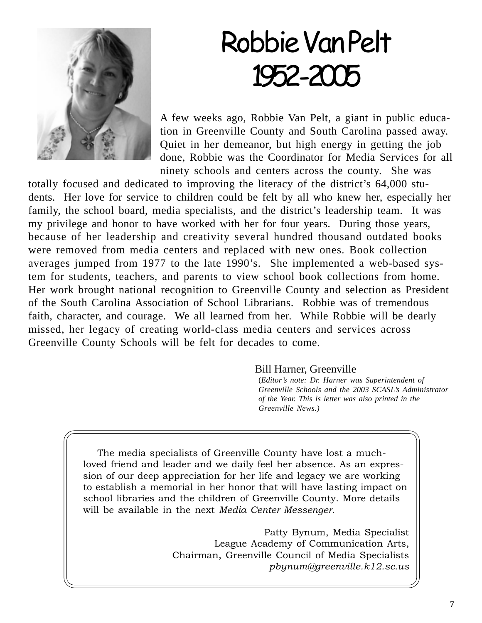

# Robbie Van Pelt 1952 - 2005

A few weeks ago, Robbie Van Pelt, a giant in public education in Greenville County and South Carolina passed away. Quiet in her demeanor, but high energy in getting the job done, Robbie was the Coordinator for Media Services for all ninety schools and centers across the county. She was

totally focused and dedicated to improving the literacy of the district's 64,000 students. Her love for service to children could be felt by all who knew her, especially her family, the school board, media specialists, and the district's leadership team. It was my privilege and honor to have worked with her for four years. During those years, because of her leadership and creativity several hundred thousand outdated books were removed from media centers and replaced with new ones. Book collection averages jumped from 1977 to the late 1990's. She implemented a web-based system for students, teachers, and parents to view school book collections from home. Her work brought national recognition to Greenville County and selection as President of the South Carolina Association of School Librarians. Robbie was of tremendous faith, character, and courage. We all learned from her. While Robbie will be dearly missed, her legacy of creating world-class media centers and services across Greenville County Schools will be felt for decades to come.

#### Bill Harner, Greenville

(*Editor's note: Dr. Harner was Superintendent of Greenville Schools and the 2003 SCASL's Administrator of the Year. This ls letter was also printed in the Greenville News.)*

The media specialists of Greenville County have lost a muchloved friend and leader and we daily feel her absence. As an expression of our deep appreciation for her life and legacy we are working to establish a memorial in her honor that will have lasting impact on school libraries and the children of Greenville County. More details will be available in the next *Media Center Messenger*.

> Patty Bynum, Media Specialist League Academy of Communication Arts, Chairman, Greenville Council of Media Specialists *pbynum@greenville.k12.sc.us*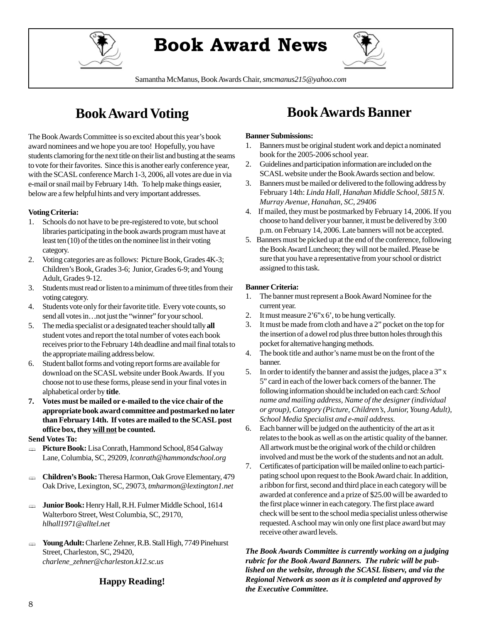

### **Book Award News**



Samantha McManus, Book Awards Chair, *smcmanus215@yahoo.com*

### **Book Award Voting**

The Book Awards Committee is so excited about this year's book award nominees and we hope you are too! Hopefully, you have students clamoring for the next title on their list and busting at the seams to vote for their favorites. Since this is another early conference year, with the SCASL conference March 1-3, 2006, all votes are due in via e-mail or snail mail by February 14th. To help make things easier, below are a few helpful hints and very important addresses.

#### **Voting Criteria:**

- 1. Schools do not have to be pre-registered to vote, but school libraries participating in the book awards program must have at least ten (10) of the titles on the nominee list in their voting category.
- 2. Voting categories are as follows: Picture Book, Grades 4K-3; Children's Book, Grades 3-6; Junior, Grades 6-9; and Young Adult, Grades 9-12.
- 3. Students must read or listen to a minimum of three titles from their voting category.
- 4. Students vote only for their favorite title. Every vote counts, so send all votes in...not just the "winner" for your school.
- 5. The media specialist or a designated teacher should tally **all** student votes and report the total number of votes each book receives prior to the February 14th deadline and mail final totals to the appropriate mailing address below.
- 6. Student ballot forms and voting report forms are available for download on the SCASL website under Book Awards. If you choose not to use these forms, please send in your final votes in alphabetical order by **title**.
- **7. Votes must be mailed or e-mailed to the vice chair of the appropriate book award committee and postmarked no later than February 14th. If votes are mailed to the SCASL post office box, they will not be counted.**

#### **Send Votes To:**

- **Picture Book:** Lisa Conrath, Hammond School, 854 Galway Lane, Columbia, SC, 29209, *lconrath@hammondschool.org*
- **Children's Book:** Theresa Harmon, Oak Grove Elementary, 479 Oak Drive, Lexington, SC, 29073, *tmharmon@lextington1.net*
- **Junior Book:** Henry Hall, R.H. Fulmer Middle School, 1614 Walterboro Street, West Columbia, SC, 29170, *hlhall1971@alltel.net*
- **Young Adult:** Charlene Zehner, R.B. Stall High, 7749 Pinehurst Street, Charleston, SC, 29420, *charlene\_zehner@charleston.k12.sc.us*

#### **Happy Reading!**

### **Book Awards Banner**

#### **Banner Submissions:**

- 1. Banners must be original student work and depict a nominated book for the 2005-2006 school year.
- 2. Guidelines and participation information are included on the SCASL website under the Book Awards section and below.
- 3. Banners must be mailed or delivered to the following address by February 14th: *Linda Hall, Hanahan Middle School, 5815 N. Murray Avenue, Hanahan, SC, 29406*
- 4. If mailed, they must be postmarked by February 14, 2006. If you choose to hand deliver your banner, it must be delivered by 3:00 p.m. on February 14, 2006. Late banners will not be accepted.
- 5. Banners must be picked up at the end of the conference, following the Book Award Luncheon; they will not be mailed. Please be sure that you have a representative from your school or district assigned to this task.

#### **Banner Criteria:**

- 1. The banner must represent a Book Award Nominee for the current year.
- 2. It must measure 2'6"x 6', to be hung vertically.
- 3. It must be made from cloth and have a 2" pocket on the top for the insertion of a dowel rod plus three button holes through this pocket for alternative hanging methods.
- 4. The book title and author's name must be on the front of the banner.
- 5. In order to identify the banner and assist the judges, place a 3" x 5" card in each of the lower back corners of the banner. The following information should be included on each card: *School name and mailing address, Name of the designer (individual or group), Category (Picture, Children's, Junior, Young Adult), School Media Specialist and e-mail address.*
- 6. Each banner will be judged on the authenticity of the art as it relates to the book as well as on the artistic quality of the banner. All artwork must be the original work of the child or children involved and must be the work of the students and not an adult.
- 7. Certificates of participation will be mailed online to each participating school upon request to the Book Award chair. In addition, a ribbon for first, second and third place in each category will be awarded at conference and a prize of \$25.00 will be awarded to the first place winner in each category. The first place award check will be sent to the school media specialist unless otherwise requested. A school may win only one first place award but may receive other award levels.

*The Book Awards Committee is currently working on a judging rubric for the Book Award Banners. The rubric will be published on the website, through the SCASL listserv, and via the Regional Network as soon as it is completed and approved by the Executive Committee.*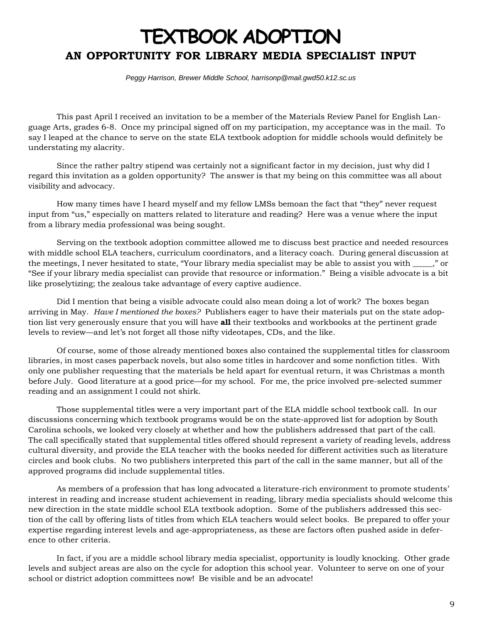### **TEXTBOOK ADOPTION AN OPPORTUNITY FOR LIBRARY MEDIA SPECIALIST INPUT**

*Peggy Harrison, Brewer Middle School, harrisonp@mail.gwd50.k12.sc.us*

This past April I received an invitation to be a member of the Materials Review Panel for English Language Arts, grades 6-8. Once my principal signed off on my participation, my acceptance was in the mail. To say I leaped at the chance to serve on the state ELA textbook adoption for middle schools would definitely be understating my alacrity.

Since the rather paltry stipend was certainly not a significant factor in my decision, just why did I regard this invitation as a golden opportunity? The answer is that my being on this committee was all about visibility and advocacy.

How many times have I heard myself and my fellow LMSs bemoan the fact that "they" never request input from "us," especially on matters related to literature and reading? Here was a venue where the input from a library media professional was being sought.

Serving on the textbook adoption committee allowed me to discuss best practice and needed resources with middle school ELA teachers, curriculum coordinators, and a literacy coach. During general discussion at the meetings, I never hesitated to state, "Your library media specialist may be able to assist you with \_\_\_\_\_," or "See if your library media specialist can provide that resource or information." Being a visible advocate is a bit like proselytizing; the zealous take advantage of every captive audience.

Did I mention that being a visible advocate could also mean doing a lot of work? The boxes began arriving in May. *Have I mentioned the boxes?* Publishers eager to have their materials put on the state adoption list very generously ensure that you will have **all** their textbooks and workbooks at the pertinent grade levels to review—and let's not forget all those nifty videotapes, CDs, and the like.

Of course, some of those already mentioned boxes also contained the supplemental titles for classroom libraries, in most cases paperback novels, but also some titles in hardcover and some nonfiction titles. With only one publisher requesting that the materials be held apart for eventual return, it was Christmas a month before July. Good literature at a good price—for my school. For me, the price involved pre-selected summer reading and an assignment I could not shirk.

Those supplemental titles were a very important part of the ELA middle school textbook call. In our discussions concerning which textbook programs would be on the state-approved list for adoption by South Carolina schools, we looked very closely at whether and how the publishers addressed that part of the call. The call specifically stated that supplemental titles offered should represent a variety of reading levels, address cultural diversity, and provide the ELA teacher with the books needed for different activities such as literature circles and book clubs. No two publishers interpreted this part of the call in the same manner, but all of the approved programs did include supplemental titles.

As members of a profession that has long advocated a literature-rich environment to promote students' interest in reading and increase student achievement in reading, library media specialists should welcome this new direction in the state middle school ELA textbook adoption. Some of the publishers addressed this section of the call by offering lists of titles from which ELA teachers would select books. Be prepared to offer your expertise regarding interest levels and age-appropriateness, as these are factors often pushed aside in deference to other criteria.

In fact, if you are a middle school library media specialist, opportunity is loudly knocking. Other grade levels and subject areas are also on the cycle for adoption this school year. Volunteer to serve on one of your school or district adoption committees now! Be visible and be an advocate!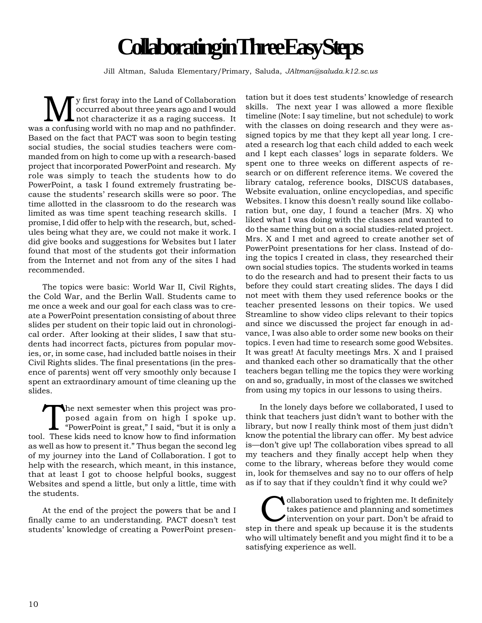## **Collaborating in Three Easy Steps**

Jill Altman, Saluda Elementary/Primary, Saluda, *JAltman@saluda.k12.sc.us*

y first foray into the Land of Collaboration occurred about three years ago and I would not characterize it as a raging success. It was a confusing world with no map and no pathfinder. Based on the fact that PACT was soon to begin testing social studies, the social studies teachers were commanded from on high to come up with a research-based project that incorporated PowerPoint and research. My role was simply to teach the students how to do PowerPoint, a task I found extremely frustrating because the students' research skills were so poor. The time allotted in the classroom to do the research was limited as was time spent teaching research skills. I promise, I did offer to help with the research, but, schedules being what they are, we could not make it work. I did give books and suggestions for Websites but I later found that most of the students got their information from the Internet and not from any of the sites I had recommended.

The topics were basic: World War II, Civil Rights, the Cold War, and the Berlin Wall. Students came to me once a week and our goal for each class was to create a PowerPoint presentation consisting of about three slides per student on their topic laid out in chronological order. After looking at their slides, I saw that students had incorrect facts, pictures from popular movies, or, in some case, had included battle noises in their Civil Rights slides. The final presentations (in the presence of parents) went off very smoothly only because I spent an extraordinary amount of time cleaning up the slides.

The next semester when this project was proposed again from on high I spoke up.<br>
"PowerPoint is great," I said, "but it is only a<br>
These kids need to know how to find information posed again from on high I spoke up. "PowerPoint is great," I said, "but it is only a tool. These kids need to know how to find information as well as how to present it." Thus began the second leg of my journey into the Land of Collaboration. I got to help with the research, which meant, in this instance, that at least I got to choose helpful books, suggest Websites and spend a little, but only a little, time with the students.

At the end of the project the powers that be and I finally came to an understanding. PACT doesn't test students' knowledge of creating a PowerPoint presen-

tation but it does test students' knowledge of research skills. The next year I was allowed a more flexible timeline (Note: I say timeline, but not schedule) to work with the classes on doing research and they were assigned topics by me that they kept all year long. I created a research log that each child added to each week and I kept each classes' logs in separate folders. We spent one to three weeks on different aspects of research or on different reference items. We covered the library catalog, reference books, DISCUS databases, Website evaluation, online encyclopedias, and specific Websites. I know this doesn't really sound like collaboration but, one day, I found a teacher (Mrs. X) who liked what I was doing with the classes and wanted to do the same thing but on a social studies-related project. Mrs. X and I met and agreed to create another set of PowerPoint presentations for her class. Instead of doing the topics I created in class, they researched their own social studies topics. The students worked in teams to do the research and had to present their facts to us before they could start creating slides. The days I did not meet with them they used reference books or the teacher presented lessons on their topics. We used Streamline to show video clips relevant to their topics and since we discussed the project far enough in advance, I was also able to order some new books on their topics. I even had time to research some good Websites. It was great! At faculty meetings Mrs. X and I praised and thanked each other so dramatically that the other teachers began telling me the topics they were working on and so, gradually, in most of the classes we switched from using my topics in our lessons to using theirs.

In the lonely days before we collaborated, I used to think that teachers just didn't want to bother with the library, but now I really think most of them just didn't know the potential the library can offer. My best advice is—don't give up! The collaboration vibes spread to all my teachers and they finally accept help when they come to the library, whereas before they would come in, look for themselves and say no to our offers of help as if to say that if they couldn't find it why could we?

Collaboration used to frighten me. It definitely<br>takes patience and planning and sometimes<br>in there and speek up because it is the students takes patience and planning and sometimes step in there and speak up because it is the students who will ultimately benefit and you might find it to be a satisfying experience as well.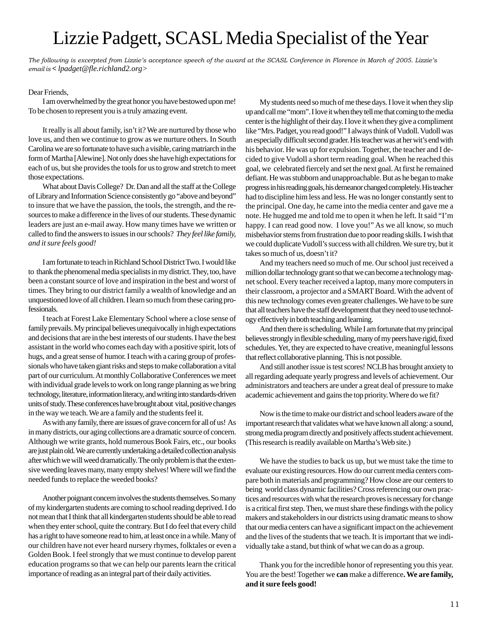## Lizzie Padgett, SCASL Media Specialist of the Year

*The following is excerpted from Lizzie's acceptance speech of the award at the SCASL Conference in Florence in March of 2005. Lizzie's email is < lpadget@fle.richland2.org>*

Dear Friends,

I am overwhelmed by the great honor you have bestowed upon me! To be chosen to represent you is a truly amazing event.

It really is all about family, isn't it? We are nurtured by those who love us, and then we continue to grow as we nurture others. In South Carolina we are so fortunate to have such a visible, caring matriarch in the form of Martha [Alewine]. Not only does she have high expectations for each of us, but she provides the tools for us to grow and stretch to meet those expectations.

What about Davis College? Dr. Dan and all the staff at the College of Library and Information Science consistently go "above and beyond" to insure that we have the passion, the tools, the strength, and the resources to make a difference in the lives of our students. These dynamic leaders are just an e-mail away. How many times have we written or called to find the answers to issues in our schools? *They feel like family, and it sure feels good!*

I am fortunate to teach in Richland School District Two. I would like to thank the phenomenal media specialists in my district. They, too, have been a constant source of love and inspiration in the best and worst of times. They bring to our district family a wealth of knowledge and an unquestioned love of all children. I learn so much from these caring professionals.

I teach at Forest Lake Elementary School where a close sense of family prevails. My principal believes unequivocally in high expectations and decisions that are in the best interests of our students. I have the best assistant in the world who comes each day with a positive spirit, lots of hugs, and a great sense of humor. I teach with a caring group of professionals who have taken giant risks and steps to make collaboration a vital part of our curriculum. At monthly Collaborative Conferences we meet with individual grade levels to work on long range planning as we bring technology, literature, information literacy, and writing into standards-driven units of study. These conferences have brought about vital, positive changes in the way we teach. We are a family and the students feel it.

As with any family, there are issues of grave concern for all of us! As in many districts, our aging collections are a dramatic source of concern. Although we write grants, hold numerous Book Fairs, etc., our books are just plain old. We are currently undertaking a detailed collection analysis after which we will weed dramatically. The only problem is that the extensive weeding leaves many, many empty shelves! Where will we find the needed funds to replace the weeded books?

Another poignant concern involves the students themselves. So many of my kindergarten students are coming to school reading deprived. I do not mean that I think that all kindergarten students should be able to read when they enter school, quite the contrary. But I do feel that every child has a right to have someone read to him, at least once in a while. Many of our children have not ever heard nursery rhymes, folktales or even a Golden Book. I feel strongly that we must continue to develop parent education programs so that we can help our parents learn the critical importance of reading as an integral part of their daily activities.

My students need so much of me these days. I love it when they slip up and call me "mom". I love it when they tell me that coming to the media center is the highlight of their day. I love it when they give a compliment like "Mrs. Padget, you read good!" I always think of Vudoll. Vudoll was an especially difficult second grader. His teacher was at her wit's end with his behavior. He was up for expulsion. Together, the teacher and I decided to give Vudoll a short term reading goal. When he reached this goal, we celebrated fiercely and set the next goal. At first he remained defiant. He was stubborn and unapproachable. But as he began to make progress in his reading goals, his demeanor changed completely. His teacher had to discipline him less and less. He was no longer constantly sent to the principal. One day, he came into the media center and gave me a note. He hugged me and told me to open it when he left. It said "I'm happy. I can read good now. I love you!" As we all know, so much misbehavior stems from frustration due to poor reading skills. I wish that we could duplicate Vudoll's success with all children. We sure try, but it takes so much of us, doesn't it?

And my teachers need so much of me. Our school just received a million dollar technology grant so that we can become a technology magnet school. Every teacher received a laptop, many more computers in their classroom, a projector and a SMART Board. With the advent of this new technology comes even greater challenges. We have to be sure that all teachers have the staff development that they need to use technology effectively in both teaching and learning.

And then there is scheduling. While I am fortunate that my principal believes strongly in flexible scheduling, many of my peers have rigid, fixed schedules. Yet, they are expected to have creative, meaningful lessons that reflect collaborative planning. This is not possible.

And still another issue is test scores! NCLB has brought anxiety to all regarding adequate yearly progress and levels of achievement. Our administrators and teachers are under a great deal of pressure to make academic achievement and gains the top priority. Where do we fit?

Now is the time to make our district and school leaders aware of the important research that validates what we have known all along: a sound, strong media program directly and positively affects student achievement. (This research is readily available on Martha's Web site.)

We have the studies to back us up, but we must take the time to evaluate our existing resources. How do our current media centers compare both in materials and programming? How close are our centers to being world class dynamic facilities? Cross referencing our own practices and resources with what the research proves is necessary for change is a critical first step. Then, we must share these findings with the policy makers and stakeholders in our districts using dramatic means to show that our media centers can have a significant impact on the achievement and the lives of the students that we teach. It is important that we individually take a stand, but think of what we can do as a group.

Thank you for the incredible honor of representing you this year. You are the best! Together we **can** make a difference**. We are family, and it sure feels good!**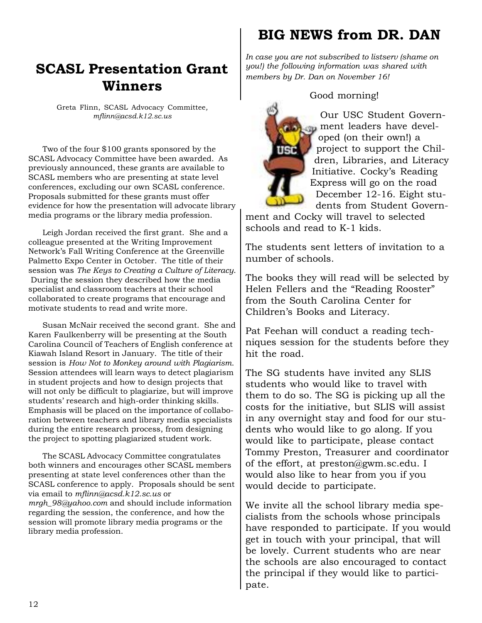### **BIG NEWS from DR. DAN**

### **SCASL Presentation Grant Winners**

Greta Flinn, SCASL Advocacy Committee*, mflinn@acsd.k12.sc.us*

Two of the four \$100 grants sponsored by the SCASL Advocacy Committee have been awarded. As previously announced, these grants are available to SCASL members who are presenting at state level conferences, excluding our own SCASL conference. Proposals submitted for these grants must offer evidence for how the presentation will advocate library media programs or the library media profession.

Leigh Jordan received the first grant. She and a colleague presented at the Writing Improvement Network's Fall Writing Conference at the Greenville Palmetto Expo Center in October. The title of their session was *The Keys to Creating a Culture of Literacy*. During the session they described how the media specialist and classroom teachers at their school collaborated to create programs that encourage and motivate students to read and write more.

Susan McNair received the second grant. She and Karen Faulkenberry will be presenting at the South Carolina Council of Teachers of English conference at Kiawah Island Resort in January. The title of their session is *How Not to Monkey around with Plagiarism*. Session attendees will learn ways to detect plagiarism in student projects and how to design projects that will not only be difficult to plagiarize, but will improve students' research and high-order thinking skills. Emphasis will be placed on the importance of collaboration between teachers and library media specialists during the entire research process, from designing the project to spotting plagiarized student work.

The SCASL Advocacy Committee congratulates both winners and encourages other SCASL members presenting at state level conferences other than the SCASL conference to apply. Proposals should be sent via email to *mflinn@acsd.k12.sc.us* or *mrgh\_98@yahoo.com* and should include information regarding the session, the conference, and how the session will promote library media programs or the library media profession.

*In case you are not subscribed to listserv (shame on you!) the following information was shared with members by Dr. Dan on November 16!*

#### Good morning!



Our USC Student Government leaders have developed (on their own!) a project to support the Children, Libraries, and Literacy Initiative. Cocky's Reading Express will go on the road December 12-16. Eight students from Student Govern-

ment and Cocky will travel to selected schools and read to K-1 kids.

The students sent letters of invitation to a number of schools.

The books they will read will be selected by Helen Fellers and the "Reading Rooster" from the South Carolina Center for Children's Books and Literacy.

Pat Feehan will conduct a reading techniques session for the students before they hit the road.

The SG students have invited any SLIS students who would like to travel with them to do so. The SG is picking up all the costs for the initiative, but SLIS will assist in any overnight stay and food for our students who would like to go along. If you would like to participate, please contact Tommy Preston, Treasurer and coordinator of the effort, at preston@gwm.sc.edu. I would also like to hear from you if you would decide to participate.

We invite all the school library media specialists from the schools whose principals have responded to participate. If you would get in touch with your principal, that will be lovely. Current students who are near the schools are also encouraged to contact the principal if they would like to participate.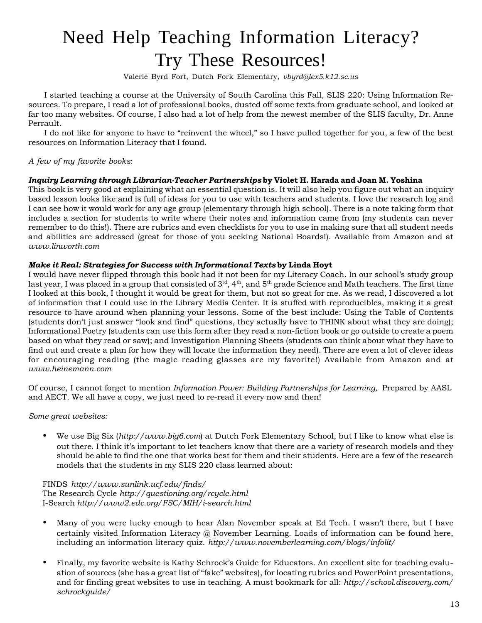## Need Help Teaching Information Literacy? Try These Resources!

Valerie Byrd Fort, Dutch Fork Elementary, *vbyrd@lex5.k12.sc.us*

I started teaching a course at the University of South Carolina this Fall, SLIS 220: Using Information Resources. To prepare, I read a lot of professional books, dusted off some texts from graduate school, and looked at far too many websites. Of course, I also had a lot of help from the newest member of the SLIS faculty, Dr. Anne Perrault.

I do not like for anyone to have to "reinvent the wheel," so I have pulled together for you, a few of the best resources on Information Literacy that I found.

#### *A few of my favorite books*:

#### *Inquiry Learning through Librarian-Teacher Partnerships* **by Violet H. Harada and Joan M. Yoshina**

This book is very good at explaining what an essential question is. It will also help you figure out what an inquiry based lesson looks like and is full of ideas for you to use with teachers and students. I love the research log and I can see how it would work for any age group (elementary through high school). There is a note taking form that includes a section for students to write where their notes and information came from (my students can never remember to do this!). There are rubrics and even checklists for you to use in making sure that all student needs and abilities are addressed (great for those of you seeking National Boards!). Available from Amazon and at *www.linworth.com*

#### *Make it Real: Strategies for Success with Informational Texts* **by Linda Hoyt**

I would have never flipped through this book had it not been for my Literacy Coach. In our school's study group last year, I was placed in a group that consisted of 3<sup>rd</sup>, 4<sup>th</sup>, and 5<sup>th</sup> grade Science and Math teachers. The first time I looked at this book, I thought it would be great for them, but not so great for me. As we read, I discovered a lot of information that I could use in the Library Media Center. It is stuffed with reproducibles, making it a great resource to have around when planning your lessons. Some of the best include: Using the Table of Contents (students don't just answer "look and find" questions, they actually have to THINK about what they are doing); Informational Poetry (students can use this form after they read a non-fiction book or go outside to create a poem based on what they read or saw); and Investigation Planning Sheets (students can think about what they have to find out and create a plan for how they will locate the information they need). There are even a lot of clever ideas for encouraging reading (the magic reading glasses are my favorite!) Available from Amazon and at *www.heinemann.com*

Of course, I cannot forget to mention *Information Power: Building Partnerships for Learning,* Prepared by AASL and AECT. We all have a copy, we just need to re-read it every now and then!

#### *Some great websites:*

• We use Big Six (*http://www.big6.com*) at Dutch Fork Elementary School, but I like to know what else is out there. I think it's important to let teachers know that there are a variety of research models and they should be able to find the one that works best for them and their students. Here are a few of the research models that the students in my SLIS 220 class learned about:

FINDS *http://www.sunlink.ucf.edu/finds/* The Research Cycle *http://questioning.org/rcycle.html* I-Search *http://www2.edc.org/FSC/MIH/i-search.html*

- Many of you were lucky enough to hear Alan November speak at Ed Tech. I wasn't there, but I have certainly visited Information Literacy  $@$  November Learning. Loads of information can be found here, including an information literacy quiz. *http://www.novemberlearning.com/blogs/infolit/*
- Finally, my favorite website is Kathy Schrock's Guide for Educators. An excellent site for teaching evaluation of sources (she has a great list of "fake" websites), for locating rubrics and PowerPoint presentations, and for finding great websites to use in teaching. A must bookmark for all: *http://school.discovery.com/ schrockguide/*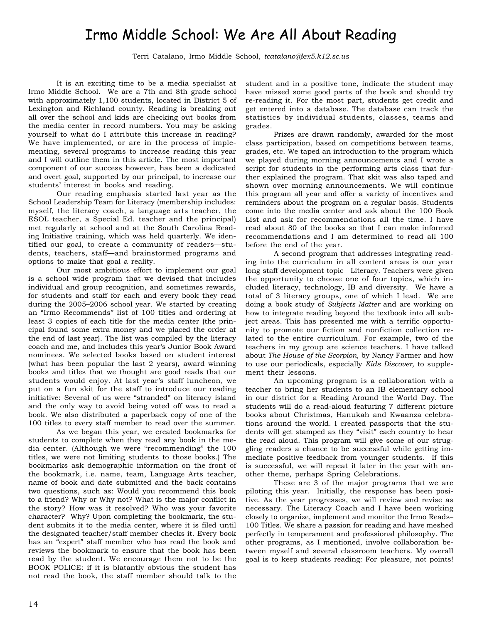### Irmo Middle School: We Are All About Reading

Terri Catalano, Irmo Middle School, *tcatalano@lex5.k12.sc.us*

It is an exciting time to be a media specialist at Irmo Middle School. We are a 7th and 8th grade school with approximately 1,100 students, located in District 5 of Lexington and Richland county. Reading is breaking out all over the school and kids are checking out books from the media center in record numbers. You may be asking yourself to what do I attribute this increase in reading? We have implemented, or are in the process of implementing, several programs to increase reading this year and I will outline them in this article. The most important component of our success however, has been a dedicated and overt goal, supported by our principal, to increase our students' interest in books and reading.

Our reading emphasis started last year as the School Leadership Team for Literacy (membership includes: myself, the literacy coach, a language arts teacher, the ESOL teacher, a Special Ed. teacher and the principal) met regularly at school and at the South Carolina Reading Initiative training, which was held quarterly. We identified our goal, to create a community of readers—students, teachers, staff—and brainstormed programs and options to make that goal a reality.

Our most ambitious effort to implement our goal is a school wide program that we devised that includes individual and group recognition, and sometimes rewards, for students and staff for each and every book they read during the 2005–2006 school year. We started by creating an "Irmo Recommends" list of 100 titles and ordering at least 3 copies of each title for the media center (the principal found some extra money and we placed the order at the end of last year). The list was compiled by the literacy coach and me, and includes this year's Junior Book Award nominees. We selected books based on student interest (what has been popular the last 2 years), award winning books and titles that we thought are good reads that our students would enjoy. At last year's staff luncheon, we put on a fun skit for the staff to introduce our reading initiative: Several of us were "stranded" on literacy island and the only way to avoid being voted off was to read a book. We also distributed a paperback copy of one of the 100 titles to every staff member to read over the summer.

As we began this year, we created bookmarks for students to complete when they read any book in the media center. (Although we were "recommending" the 100 titles, we were not limiting students to those books.) The bookmarks ask demographic information on the front of the bookmark, i.e. name, team, Language Arts teacher, name of book and date submitted and the back contains two questions, such as: Would you recommend this book to a friend? Why or Why not? What is the major conflict in the story? How was it resolved? Who was your favorite character? Why? Upon completing the bookmark, the student submits it to the media center, where it is filed until the designated teacher/staff member checks it. Every book has an "expert" staff member who has read the book and reviews the bookmark to ensure that the book has been read by the student. We encourage them not to be the BOOK POLICE: if it is blatantly obvious the student has not read the book, the staff member should talk to the

student and in a positive tone, indicate the student may have missed some good parts of the book and should try re-reading it. For the most part, students get credit and get entered into a database. The database can track the statistics by individual students, classes, teams and grades.

Prizes are drawn randomly, awarded for the most class participation, based on competitions between teams, grades, etc. We taped an introduction to the program which we played during morning announcements and I wrote a script for students in the performing arts class that further explained the program. That skit was also taped and shown over morning announcements. We will continue this program all year and offer a variety of incentives and reminders about the program on a regular basis. Students come into the media center and ask about the 100 Book List and ask for recommendations all the time. I have read about 80 of the books so that I can make informed recommendations and I am determined to read all 100 before the end of the year.

A second program that addresses integrating reading into the curriculum in all content areas is our year long staff development topic—Literacy. Teachers were given the opportunity to choose one of four topics, which included literacy, technology, IB and diversity. We have a total of 3 literacy groups, one of which I lead. We are doing a book study of *Subjects Matter* and are working on how to integrate reading beyond the textbook into all subject areas. This has presented me with a terrific opportunity to promote our fiction and nonfiction collection related to the entire curriculum. For example, two of the teachers in my group are science teachers. I have talked about *The House of the Scorpion*, by Nancy Farmer and how to use our periodicals, especially *Kids Discover,* to supplement their lessons.

An upcoming program is a collaboration with a teacher to bring her students to an IB elementary school in our district for a Reading Around the World Day. The students will do a read-aloud featuring 7 different picture books about Christmas, Hanukah and Kwaanza celebrations around the world. I created passports that the students will get stamped as they "visit" each country to hear the read aloud. This program will give some of our struggling readers a chance to be successful while getting immediate positive feedback from younger students. If this is successful, we will repeat it later in the year with another theme, perhaps Spring Celebrations.

These are 3 of the major programs that we are piloting this year. Initially, the response has been positive. As the year progresses, we will review and revise as necessary. The Literacy Coach and I have been working closely to organize, implement and monitor the Irmo Reads– 100 Titles. We share a passion for reading and have meshed perfectly in temperament and professional philosophy. The other programs, as I mentioned, involve collaboration between myself and several classroom teachers. My overall goal is to keep students reading: For pleasure, not points!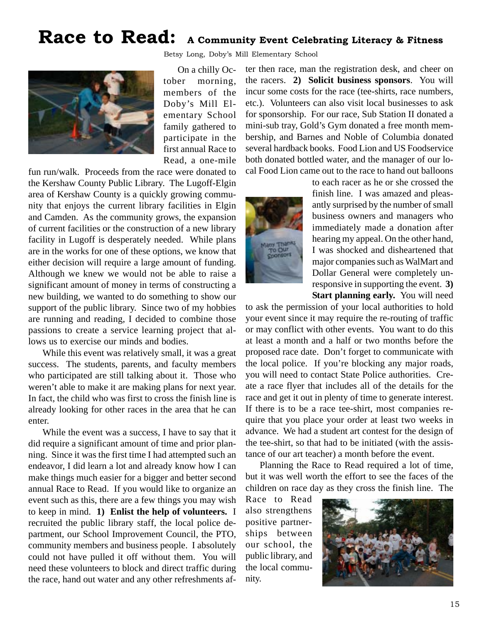### **Race to Read: A Community Event Celebrating Literacy & Fitness**

Betsy Long, Doby's Mill Elementary School



On a chilly October morning, members of the Doby's Mill Elementary School family gathered to participate in the first annual Race to Read, a one-mile

fun run/walk. Proceeds from the race were donated to the Kershaw County Public Library. The Lugoff-Elgin area of Kershaw County is a quickly growing community that enjoys the current library facilities in Elgin and Camden. As the community grows, the expansion of current facilities or the construction of a new library facility in Lugoff is desperately needed. While plans are in the works for one of these options, we know that either decision will require a large amount of funding. Although we knew we would not be able to raise a significant amount of money in terms of constructing a new building, we wanted to do something to show our support of the public library. Since two of my hobbies are running and reading, I decided to combine those passions to create a service learning project that allows us to exercise our minds and bodies.

While this event was relatively small, it was a great success. The students, parents, and faculty members who participated are still talking about it. Those who weren't able to make it are making plans for next year. In fact, the child who was first to cross the finish line is already looking for other races in the area that he can enter.

While the event was a success, I have to say that it did require a significant amount of time and prior planning. Since it was the first time I had attempted such an endeavor, I did learn a lot and already know how I can make things much easier for a bigger and better second annual Race to Read. If you would like to organize an event such as this, there are a few things you may wish to keep in mind. **1) Enlist the help of volunteers.** I recruited the public library staff, the local police department, our School Improvement Council, the PTO, community members and business people. I absolutely could not have pulled it off without them. You will need these volunteers to block and direct traffic during the race, hand out water and any other refreshments af-

ter then race, man the registration desk, and cheer on the racers. **2) Solicit business sponsors**. You will incur some costs for the race (tee-shirts, race numbers, etc.). Volunteers can also visit local businesses to ask for sponsorship. For our race, Sub Station II donated a mini-sub tray, Gold's Gym donated a free month membership, and Barnes and Noble of Columbia donated several hardback books. Food Lion and US Foodservice both donated bottled water, and the manager of our local Food Lion came out to the race to hand out balloons



to each racer as he or she crossed the finish line. I was amazed and pleasantly surprised by the number of small business owners and managers who immediately made a donation after hearing my appeal. On the other hand, I was shocked and disheartened that major companies such as WalMart and Dollar General were completely unresponsive in supporting the event. **3) Start planning early.** You will need

to ask the permission of your local authorities to hold your event since it may require the re-routing of traffic or may conflict with other events. You want to do this at least a month and a half or two months before the proposed race date. Don't forget to communicate with the local police. If you're blocking any major roads, you will need to contact State Police authorities. Create a race flyer that includes all of the details for the race and get it out in plenty of time to generate interest. If there is to be a race tee-shirt, most companies require that you place your order at least two weeks in advance. We had a student art contest for the design of the tee-shirt, so that had to be initiated (with the assistance of our art teacher) a month before the event.

Planning the Race to Read required a lot of time, but it was well worth the effort to see the faces of the children on race day as they cross the finish line. The

Race to Read also strengthens positive partnerships between our school, the public library, and the local community.

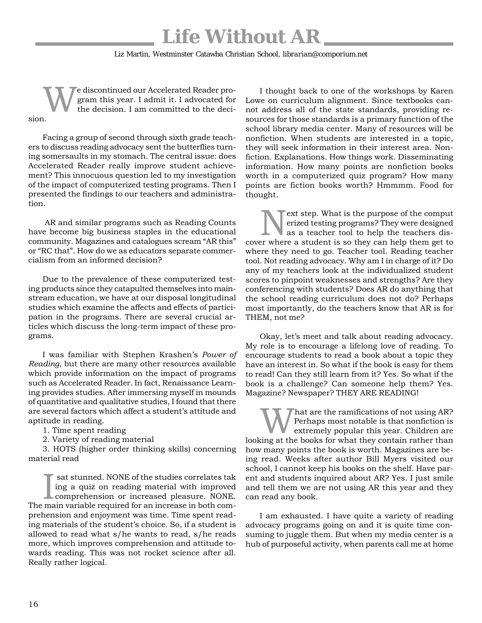## **Life Without AR**

Liz Martin, Westminster Catawba Christian School, *librarian@comporium.net*

We discontinued our Accelerated Reader program this year. I admit it. I advocated for the decision. I am committed to the decigram this year. I admit it. I advocated for the decision. I am committed to the decision.

Facing a group of second through sixth grade teachers to discuss reading advocacy sent the butterflies turning somersaults in my stomach. The central issue: does Accelerated Reader really improve student achievement? This innocuous question led to my investigation of the impact of computerized testing programs. Then I presented the findings to our teachers and administration.

 AR and similar programs such as Reading Counts have become big business staples in the educational community. Magazines and catalogues scream "AR this" or "RC that". How do we as educators separate commercialism from an informed decision?

Due to the prevalence of these computerized testing products since they catapulted themselves into mainstream education, we have at our disposal longitudinal studies which examine the affects and effects of participation in the programs. There are several crucial articles which discuss the long-term impact of these programs.

I was familiar with Stephen Krashen's *Power of Reading*, but there are many other resources available which provide information on the impact of programs such as Accelerated Reader. In fact, Renaissance Learning provides studies. After immersing myself in mounds of quantitative and qualitative studies, I found that there are several factors which affect a student's attitude and aptitude in reading.

1. Time spent reading

2. Variety of reading material

3. HOTS (higher order thinking skills) concerning material read

I sat stunned. NONE of the studies correlates take<br>ing a quiz on reading material with improved<br>comprehension or increased pleasure. NONE.<br>main variable required for an increase in both com sat stunned. NONE of the studies correlates tak ing a quiz on reading material with improved The main variable required for an increase in both comprehension and enjoyment was time. Time spent reading materials of the student's choice. So, if a student is allowed to read what s/he wants to read, s/he reads more, which improves comprehension and attitude towards reading. This was not rocket science after all. Really rather logical.

I thought back to one of the workshops by Karen Lowe on curriculum alignment. Since textbooks cannot address all of the state standards, providing resources for those standards is a primary function of the school library media center. Many of resources will be nonfiction. When students are interested in a topic, they will seek information in their interest area. Nonfiction. Explanations. How things work. Disseminating information. How many points are nonfiction books worth in a computerized quiz program? How many points are fiction books worth? Hmmmm. Food for thought.

Ext step. What is the purpose of the comput<br>erized testing programs? They were designed<br>as a teacher tool to help the teachers dis-<br>ar where a student is so they can help them get to erized testing programs? They were designed cover where a student is so they can help them get to where they need to go. Teacher tool. Reading teacher tool. Not reading advocacy. Why am I in charge of it? Do any of my teachers look at the individualized student scores to pinpoint weaknesses and strengths? Are they conferencing with students? Does AR do anything that the school reading curriculum does not do? Perhaps most importantly, do the teachers know that AR is for THEM, not me?

Okay, let's meet and talk about reading advocacy. My role is to encourage a lifelong love of reading. To encourage students to read a book about a topic they have an interest in. So what if the book is easy for them to read! Can they still learn from it? Yes. So what if the book is a challenge? Can someone help them? Yes. Magazine? Newspaper? THEY ARE READING!

What are the ramifications of not using AR?<br>
extremely popular this year. Children are<br>
exing at the books for what they contain rather than Perhaps most notable is that nonfiction is looking at the books for what they contain rather than how many points the book is worth. Magazines are being read. Weeks after author Bill Myers visited our school, I cannot keep his books on the shelf. Have parent and students inquired about AR? Yes. I just smile and tell them we are not using AR this year and they can read any book.

I am exhausted. I have quite a variety of reading advocacy programs going on and it is quite time consuming to juggle them. But when my media center is a hub of purposeful activity, when parents call me at home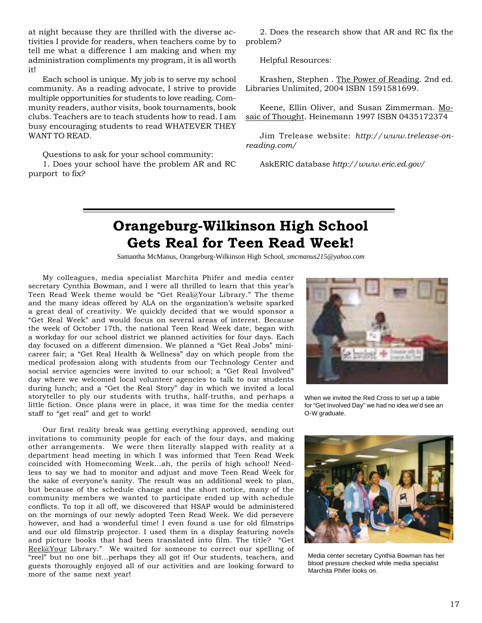at night because they are thrilled with the diverse activities I provide for readers, when teachers come by to tell me what a difference I am making and when my administration compliments my program, it is all worth it!

Each school is unique. My job is to serve my school community. As a reading advocate, I strive to provide multiple opportunities for students to love reading. Community readers, author visits, book tournaments, book clubs. Teachers are to teach students how to read. I am busy encouraging students to read WHATEVER THEY WANT TO READ.

Questions to ask for your school community:

1. Does your school have the problem AR and RC purport to fix?

2. Does the research show that AR and RC fix the problem?

Helpful Resources:

Krashen, Stephen . The Power of Reading. 2nd ed. Libraries Unlimited, 2004 ISBN 1591581699.

Keene, Ellin Oliver, and Susan Zimmerman. Mosaic of Thought. Heinemann 1997 ISBN 0435172374

Jim Trelease website: *http://www.trelease-onreading.com/*

AskERIC database *http://www.eric.ed.gov/*

### **Orangeburg-Wilkinson High School Gets Real for Teen Read Week!**

Samantha McManus, Orangeburg-Wilkinson High School, *smcmanus215@yahoo.com*

My colleagues, media specialist Marchita Phifer and media center secretary Cynthia Bowman, and I were all thrilled to learn that this year's Teen Read Week theme would be "Get Real@Your Library." The theme and the many ideas offered by ALA on the organization's website sparked a great deal of creativity. We quickly decided that we would sponsor a "Get Real Week" and would focus on several areas of interest. Because the week of October 17th, the national Teen Read Week date, began with a workday for our school district we planned activities for four days. Each day focused on a different dimension. We planned a "Get Real Jobs" minicareer fair; a "Get Real Health & Wellness" day on which people from the medical profession along with students from our Technology Center and social service agencies were invited to our school; a "Get Real Involved" day where we welcomed local volunteer agencies to talk to our students during lunch; and a "Get the Real Story" day in which we invited a local storyteller to ply our students with truths, half-truths, and perhaps a little fiction. Once plans were in place, it was time for the media center staff to "get real" and get to work!

Our first reality break was getting everything approved, sending out invitations to community people for each of the four days, and making other arrangements. We were then literally slapped with reality at a department head meeting in which I was informed that Teen Read Week coincided with Homecoming Week…ah, the perils of high school! Needless to say we had to monitor and adjust and move Teen Read Week for the sake of everyone's sanity. The result was an additional week to plan, but because of the schedule change and the short notice, many of the community members we wanted to participate ended up with schedule conflicts. To top it all off, we discovered that HSAP would be administered on the mornings of our newly adopted Teen Read Week. We did persevere however, and had a wonderful time! I even found a use for old filmstrips and our old filmstrip projector. I used them in a display featuring novels and picture books that had been translated into film. The title? "Get Reel@Your Library." We waited for someone to correct our spelling of "reel" but no one bit…perhaps they all got it! Our students, teachers, and guests thoroughly enjoyed all of our activities and are looking forward to more of the same next year!



When we invited the Red Cross to set up a table for "Get Involved Day" we had no idea we'd see an O-W graduate.



Media center secretary Cynthia Bowman has her blood pressure checked while media specialist Marchita Phifer looks on.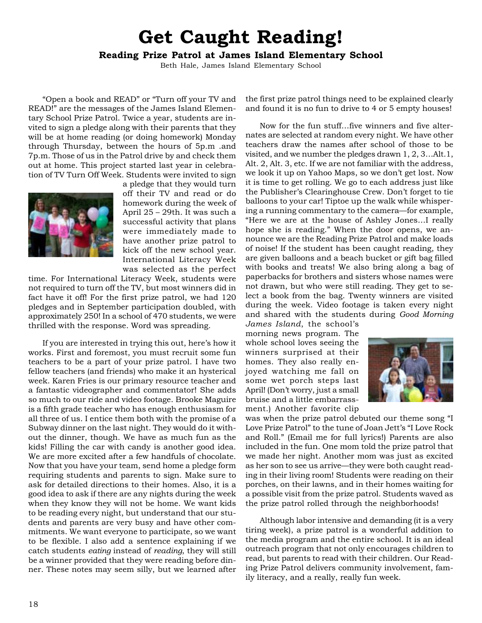### **Get Caught Reading!**

**Reading Prize Patrol at James Island Elementary School**

Beth Hale, James Island Elementary School

"Open a book and READ" or "Turn off your TV and READ!" are the messages of the James Island Elementary School Prize Patrol. Twice a year, students are invited to sign a pledge along with their parents that they will be at home reading (or doing homework) Monday through Thursday, between the hours of 5p.m .and 7p.m. Those of us in the Patrol drive by and check them out at home. This project started last year in celebration of TV Turn Off Week. Students were invited to sign



a pledge that they would turn off their TV and read or do homework during the week of April 25 – 29th. It was such a successful activity that plans were immediately made to have another prize patrol to kick off the new school year. International Literacy Week was selected as the perfect

time. For International Literacy Week, students were not required to turn off the TV, but most winners did in fact have it off! For the first prize patrol, we had 120 pledges and in September participation doubled, with approximately 250! In a school of 470 students, we were thrilled with the response. Word was spreading.

If you are interested in trying this out, here's how it works. First and foremost, you must recruit some fun teachers to be a part of your prize patrol. I have two fellow teachers (and friends) who make it an hysterical week. Karen Fries is our primary resource teacher and a fantastic videographer and commentator! She adds so much to our ride and video footage. Brooke Maguire is a fifth grade teacher who has enough enthusiasm for all three of us. I entice them both with the promise of a Subway dinner on the last night. They would do it without the dinner, though. We have as much fun as the kids! Filling the car with candy is another good idea. We are more excited after a few handfuls of chocolate. Now that you have your team, send home a pledge form requiring students and parents to sign. Make sure to ask for detailed directions to their homes. Also, it is a good idea to ask if there are any nights during the week when they know they will not be home. We want kids to be reading every night, but understand that our students and parents are very busy and have other commitments. We want everyone to participate, so we want to be flexible. I also add a sentence explaining if we catch students *eating* instead of *reading*, they will still be a winner provided that they were reading before dinner. These notes may seem silly, but we learned after

the first prize patrol things need to be explained clearly and found it is no fun to drive to 4 or 5 empty houses!

Now for the fun stuff…five winners and five alternates are selected at random every night. We have other teachers draw the names after school of those to be visited, and we number the pledges drawn 1, 2, 3…Alt.1, Alt. 2, Alt. 3, etc. If we are not familiar with the address, we look it up on Yahoo Maps, so we don't get lost. Now it is time to get rolling. We go to each address just like the Publisher's Clearinghouse Crew. Don't forget to tie balloons to your car! Tiptoe up the walk while whispering a running commentary to the camera—for example, "Here we are at the house of Ashley Jones…I really hope she is reading." When the door opens, we announce we are the Reading Prize Patrol and make loads of noise! If the student has been caught reading, they are given balloons and a beach bucket or gift bag filled with books and treats! We also bring along a bag of paperbacks for brothers and sisters whose names were not drawn, but who were still reading. They get to select a book from the bag. Twenty winners are visited during the week. Video footage is taken every night and shared with the students during *Good Morning*

*James Island*, the school's morning news program. The whole school loves seeing the winners surprised at their homes. They also really enjoyed watching me fall on some wet porch steps last April! (Don't worry, just a small bruise and a little embarrassment.) Another favorite clip



was when the prize patrol debuted our theme song "I Love Prize Patrol" to the tune of Joan Jett's "I Love Rock and Roll." (Email me for full lyrics!) Parents are also included in the fun. One mom told the prize patrol that we made her night. Another mom was just as excited as her son to see us arrive—they were both caught reading in their living room! Students were reading on their porches, on their lawns, and in their homes waiting for a possible visit from the prize patrol. Students waved as the prize patrol rolled through the neighborhoods!

Although labor intensive and demanding (it is a very tiring week), a prize patrol is a wonderful addition to the media program and the entire school. It is an ideal outreach program that not only encourages children to read, but parents to read with their children. Our Reading Prize Patrol delivers community involvement, family literacy, and a really, really fun week.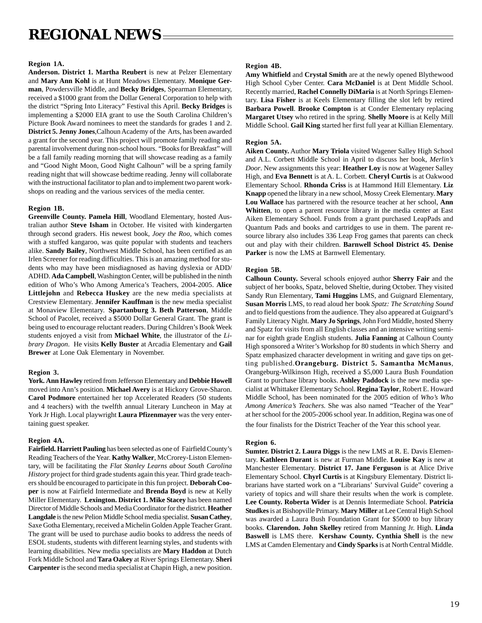### *REGIONAL NEWS*

#### **Region 1A.**

**Anderson. District 1. Martha Reubert** is new at Pelzer Elementary and **Mary Ann Kohl** is at Hunt Meadows Elementary. **Monique German**, Powdersville Middle, and **Becky Bridges**, Spearman Elementary, received a \$1000 grant from the Dollar General Corporation to help with the district "Spring Into Literacy" Festival this April. **Becky Bridges** is implementing a \$2000 EIA grant to use the South Carolina Children's Picture Book Award nominees to meet the standards for grades 1 and 2. **District 5. Jenny Jones**,Calhoun Academy of the Arts, has been awarded a grant for the second year. This project will promote family reading and parental involvement during non-school hours. "Books for Breakfast" will be a fall family reading morning that will showcase reading as a family and "Good Night Moon, Good Night Calhoun" will be a spring family reading night that will showcase bedtime reading. Jenny will collaborate with the instructional facilitator to plan and to implement two parent workshops on reading and the various services of the media center.

#### **Region 1B.**

**Greenville County. Pamela Hill**, Woodland Elementary, hosted Australian author **Steve Isham** in October. He visited with kindergarten through second graders. His newest book, *Joey the Roo*, which comes with a stuffed kangaroo, was quite popular with students and teachers alike. **Sandy Bailey**, Northwest Middle School, has been certified as an Irlen Screener for reading difficulties. This is an amazing method for students who may have been misdiagnosed as having dyslexia or ADD/ ADHD. **Ada Campbell**, Washington Center, will be published in the ninth edition of Who's Who Among America's Teachers, 2004-2005. **Alice Littlejohn** and **Rebecca Huskey** are the new media specialists at Crestview Elementary. **Jennifer Kauffman** is the new media specialist at Monaview Elementary. **Spartanburg 3. Beth Patterson**, Middle School of Pacolet, received a \$5000 Dollar General Grant. The grant is being used to encourage reluctant readers. During Children's Book Week students enjoyed a visit from **Michael White**, the illustrator of the *Library Dragon*. He visits **Kelly Buster** at Arcadia Elementary and **Gail Brewer** at Lone Oak Elementary in November.

#### **Region 3.**

**York. Ann Hawley** retired from Jefferson Elementary and **Debbie Howell** moved into Ann's position. **Michael Avery** is at Hickory Grove-Sharon. **Carol Podmore** entertained her top Accelerated Readers (50 students and 4 teachers) with the twelfth annual Literary Luncheon in May at York Jr High. Local playwright **Laura Pfizenmayer** was the very entertaining guest speaker.

#### **Region 4A.**

**Fairfield. Harriett Pauling** has been selected as one of Fairfield County's Reading Teachers of the Year. **Kathy Walker**, McCrorey-Liston Elementary, will be facilitating the *Flat Stanley Learns about South Carolina History* project for third grade students again this year. Third grade teachers should be encouraged to participate in this fun project. **Deborah Cooper** is now at Fairfield Intermediate and **Brenda Boyd** is new at Kelly Miller Elementary. **Lexington. District 1. Mike Stacey** has been named Director of Middle Schools and Media Coordinator for the district. **Heather Langdale** is the new Pelion Middle School media specialist. **Susan Cathey**, Saxe Gotha Elementary, received a Michelin Golden Apple Teacher Grant. The grant will be used to purchase audio books to address the needs of ESOL students, students with different learning styles, and students with learning disabilities. New media specialists are **Mary Haddon** at Dutch Fork Middle School and **Tara Oakey** at River Springs Elementary. **Sheri Carpenter** is the second media specialist at Chapin High, a new position.

#### **Region 4B.**

**Amy Whitfield** and **Crystal Smith** are at the newly opened Blythewood High School Cyber Center. **Cara McDaniel** is at Dent Middle School. Recently married, **Rachel Connelly DiMaria** is at North Springs Elementary. **Lisa Fisher** is at Keels Elementary filling the slot left by retired **Barbara Powell**. **Brooke Compton** is at Conder Elementary replacing **Margaret Utsey** who retired in the spring. **Shelly Moore** is at Kelly Mill Middle School. **Gail King** started her first full year at Killian Elementary.

#### **Region 5A.**

**Aiken County.** Author **Mary Triola** visited Wagener Salley High School and A.L. Corbett Middle School in April to discuss her book, *Merlin's Door*. New assignments this year: **Heather Loy** is now at Wagener Salley High, and **Eva Bennett** is at A. L. Corbett. **Cheryl Curtis** is at Oakwood Elementary School. **Rhonda Criss** is at Hammond Hill Elementary. **Liz Knapp** opened the library in a new school, Mossy Creek Elementary. **Mary Lou Wallace** has partnered with the resource teacher at her school, **Ann Whitten**, to open a parent resource library in the media center at East Aiken Elementary School. Funds from a grant purchased LeapPads and Quantum Pads and books and cartridges to use in them. The parent resource library also includes 336 Leap Frog games that parents can check out and play with their children. **Barnwell School District 45. Denise Parker** is now the LMS at Barnwell Elementary.

#### **Region 5B.**

**Calhoun County.** Several schools enjoyed author **Sherry Fair** and the subject of her books, Spatz, beloved Sheltie, during October. They visited Sandy Run Elementary, **Tami Huggins** LMS, and Guignard Elementary, **Susan Morris** LMS, to read aloud her book *Spatz: The Scratching Sound* and to field questions from the audience. They also appeared at Guignard's Family Literacy Night. **Mary Jo Springs**, John Ford Middle, hosted Sherry and Spatz for visits from all English classes and an intensive writing seminar for eighth grade English students. **Julia Fanning** at Calhoun County High sponsored a Writer's Workshop for 80 students in which Sherry and Spatz emphasized character development in writing and gave tips on getting published.**Orangeburg. District 5. Samantha McManus**, Orangeburg-Wilkinson High, received a \$5,000 Laura Bush Foundation Grant to purchase library books. **Ashley Paddock** is the new media specialist at Whittaker Elementary School. **Regina Taylor**, Robert E. Howard Middle School, has been nominated for the 2005 edition of *Who's Who Among America's Teachers.* She was also named "Teacher of the Year" at her school for the 2005-2006 school year. In addition, Regina was one of the four finalists for the District Teacher of the Year this school year.

#### **Region 6.**

**Sumter. District 2. Laura Diggs** is the new LMS at R. E. Davis Elementary. **Kathleen Durant** is new at Furman Middle. **Louise Kay** is new at Manchester Elementary. **District 17. Jane Ferguson** is at Alice Drive Elementary School. **Chyrl Curtis** is at Kingsbury Elementary. District librarians have started work on a "Librarians' Survival Guide" covering a variety of topics and will share their results when the work is complete. **Lee County. Roberta Wider** is at Dennis Intermediate School. **Patricia Studkes** is at Bishopville Primary. **Mary Miller** at Lee Central High School was awarded a Laura Bush Foundation Grant for \$5000 to buy library books. **Clarendon. John Skelley** retired from Manning Jr. High. **Linda Baswell** is LMS there. **Kershaw County. Cynthia Shell** is the new LMS at Camden Elementary and **Cindy Sparks** is at North Central Middle.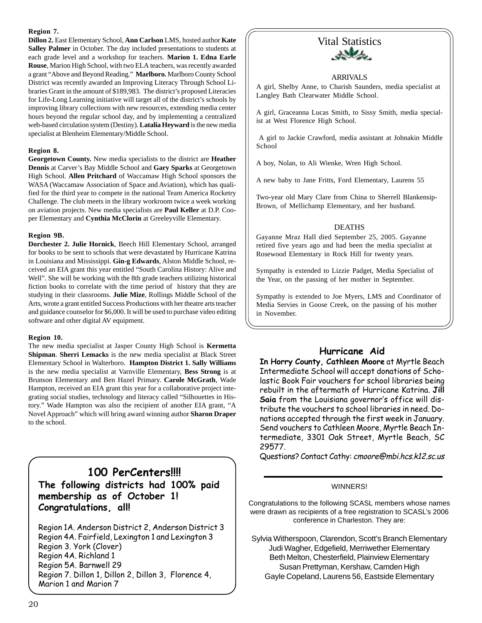#### **Region 7.**

**Dillon 2.** East Elementary School, **Ann Carlson** LMS, hosted author **Kate Salley Palmer** in October. The day included presentations to students at each grade level and a workshop for teachers. **Marion 1. Edna Earle Rouse**, Marion High School, with two ELA teachers, was recently awarded a grant "Above and Beyond Reading." **Marlboro.** Marlboro County School District was recently awarded an Improving Literacy Through School Libraries Grant in the amount of \$189,983. The district's proposed Literacies for Life-Long Learning initiative will target all of the district's schools by improving library collections with new resources, extending media center hours beyond the regular school day, and by implementing a centralized web-based circulation system (Destiny). **Latalia Heyward** is the new media specialist at Blenheim Elementary/Middle School.

#### **Region 8.**

**Georgetown County.** New media specialists to the district are **Heather Dennis** at Carver's Bay Middle School and **Gary Sparks** at Georgetown High School. **Allen Pritchard** of Waccamaw High School sponsors the WASA (Waccamaw Association of Space and Aviation), which has qualified for the third year to compete in the national Team America Rocketry Challenge. The club meets in the library workroom twice a week working on aviation projects. New media specialists are **Paul Keller** at D.P. Cooper Elementary and **Cynthia McClorin** at Greeleyville Elementary.

#### **Region 9B.**

**Dorchester 2. Julie Hornick**, Beech Hill Elementary School, arranged for books to be sent to schools that were devastated by Hurricane Katrina in Louisiana and Mississippi. **Gin-g Edwards**, Alston Middle School, received an EIA grant this year entitled "South Carolina History: Alive and Well". She will be working with the 8th grade teachers utilizing historical fiction books to correlate with the time period of history that they are studying in their classrooms. **Julie Mize**, Rollings Middle School of the Arts, wrote a grant entitled Success Productions with her theatre arts teacher and guidance counselor for \$6,000. It will be used to purchase video editing software and other digital AV equipment.

#### **Region 10.**

The new media specialist at Jasper County High School is **Kermetta Shipman**. **Sherri Lemacks** is the new media specialist at Black Street Elementary School in Walterboro. **Hampton District 1. Sally Williams** is the new media specialist at Varnville Elementary, **Bess Strong** is at Brunson Elementary and Ben Hazel Primary. **Carole McGrath**, Wade Hampton, received an EIA grant this year for a collaborative project integrating social studies, technology and literacy called "Silhouettes in History." Wade Hampton was also the recipient of another EIA grant, "A Novel Approach" which will bring award winning author **Sharon Draper** to the school.

### **100 PerCenters!!!!**

**The following districts had 100% paid membership as of October 1! Congratulations, all!**

Region 1A. Anderson District 2, Anderson District 3 Region 4A. Fairfield, Lexington 1 and Lexington 3 Region 3. York (Clover) Region 4A. Richland 1 Region 5A. Barnwell 29 Region 7. Dillon 1, Dillon 2, Dillon 3, Florence 4, Marion 1 and Marion 7

## Vital Statistics

#### ARRIVALS

A girl, Shelby Anne, to Charish Saunders, media specialist at Langley Bath Clearwater Middle School.

A girl, Graceanna Lucas Smith, to Sissy Smith, media specialist at West Florence High School.

 A girl to Jackie Crawford, media assistant at Johnakin Middle School

A boy, Nolan, to Ali Wienke, Wren High School.

A new baby to Jane Fritts, Ford Elementary, Laurens 55

Two-year old Mary Clare from China to Sherrell Blankensip-Brown, of Mellichamp Elementary, and her husband.

#### DEATHS

Gayanne Mraz Hall died September 25, 2005. Gayanne retired five years ago and had been the media specialist at Rosewood Elementary in Rock Hill for twenty years.

Sympathy is extended to Lizzie Padget, Media Specialist of the Year, on the passing of her mother in September.

Sympathy is extended to Joe Myers, LMS and Coordinator of Media Servies in Goose Creek, on the passing of his mother in November.

#### **Hurricane Aid**

**In Horry County, Cathleen Moore** at Myrtle Beach Intermediate School will accept donations of Scholastic Book Fair vouchers for school libraries being rebuilt in the aftermath of Hurricane Katrina. **Jill Saia** from the Louisiana governor's office will distribute the vouchers to school libraries in need. Donations accepted through the first week in January. Send vouchers to Cathleen Moore, Myrtle Beach Intermediate, 3301 Oak Street, Myrtle Beach, SC 29577.

Questions? Contact Cathy: cmoore@mbi.hcs.k12.sc.us

#### WINNERS!

Congratulations to the following SCASL members whose names were drawn as recipients of a free registration to SCASL's 2006 conference in Charleston. They are:

Sylvia Witherspoon, Clarendon, Scott's Branch Elementary Judi Wagher, Edgefield, Merriwether Elementary Beth Melton, Chesterfield, Plainview Elementary Susan Prettyman, Kershaw, Camden High Gayle Copeland, Laurens 56, Eastside Elementary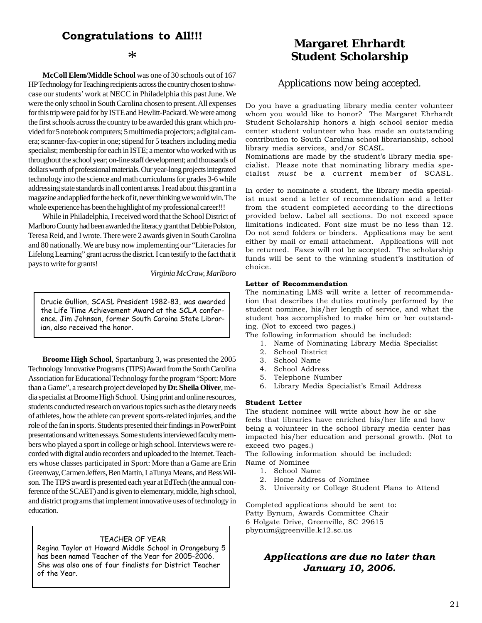### **Congratulations to All!!! Margaret Ehrhardt**

#### $\ast$

**McColl Elem/Middle School** was one of 30 schools out of 167 HP Technology for Teaching recipients across the country chosen to showcase our students' work at NECC in Philadelphia this past June. We were the only school in South Carolina chosen to present. All expenses for this trip were paid for by ISTE and Hewlitt-Packard. We were among the first schools across the country to be awarded this grant which provided for 5 notebook computers; 5 multimedia projectors; a digital camera; scanner-fax-copier in one; stipend for 5 teachers including media specialist; membership for each in ISTE; a mentor who worked with us throughout the school year; on-line staff development; and thousands of dollars worth of professional materials. Our year-long projects integrated technology into the science and math curriculums for grades 3-6 while addressing state standards in all content areas. I read about this grant in a magazine and applied for the heck of it, never thinking we would win. The whole experience has been the highlight of my professional career!!!

While in Philadelphia, I received word that the School District of Marlboro County had been awarded the literacy grant that Debbie Polston, Teresa Reid, and I wrote. There were 2 awards given in South Carolina and 80 nationally. We are busy now implementing our "Literacies for Lifelong Learning" grant across the district. I can testify to the fact that it pays to write for grants!

*Virginia McCraw, Marlboro*

Drucie Gullion, SCASL President 1982-83, was awarded the Life Time Achievement Award at the SCLA conference. Jim Johnson, former South Caroina State Librarian, also received the honor.

**Broome High School**, Spartanburg 3, was presented the 2005 Technology Innovative Programs (TIPS) Award from the South Carolina Association for Educational Technology for the program "Sport: More than a Game", a research project developed by **Dr. Sheila Oliver**, media specialist at Broome High School. Using print and online resources, students conducted research on various topics such as the dietary needs of athletes, how the athlete can prevent sports-related injuries, and the role of the fan in sports. Students presented their findings in PowerPoint presentations and written essays. Some students interviewed faculty members who played a sport in college or high school. Interviews were recorded with digital audio recorders and uploaded to the Internet. Teachers whose classes participated in Sport: More than a Game are Erin Greenway, Carmen Jeffers, Ben Martin, LaTunya Means, and Bess Wilson. The TIPS award is presented each year at EdTech (the annual conference of the SCAET) and is given to elementary, middle, high school, and district programs that implement innovative uses of technology in education.

#### TEACHER OF YEAR

Regina Taylor at Howard Middle School in Orangeburg 5 has been named Teacher of the Year for 2005-2006. She was also one of four finalists for District Teacher of the Year.

## **Student Scholarship**

#### Applications now being accepted.

Do you have a graduating library media center volunteer whom you would like to honor? The Margaret Ehrhardt Student Scholarship honors a high school senior media center student volunteer who has made an outstanding contribution to South Carolina school librarianship, school library media services, and/or SCASL.

Nominations are made by the student's library media specialist. Please note that nominating library media specialist *must* be a current member of SCASL.

In order to nominate a student, the library media specialist must send a letter of recommendation and a letter from the student completed according to the directions provided below. Label all sections. Do not exceed space limitations indicated. Font size must be no less than 12. Do not send folders or binders. Applications may be sent either by mail or email attachment. Applications will not be returned. Faxes will not be accepted. The scholarship funds will be sent to the winning student's institution of choice.

#### **Letter of Recommendation**

The nominating LMS will write a letter of recommendation that describes the duties routinely performed by the student nominee, his/her length of service, and what the student has accomplished to make him or her outstanding. (Not to exceed two pages.)

- The following information should be included:
	- 1. Name of Nominating Library Media Specialist
	- 2. School District
	- 3. School Name
	- 4. School Address
	- 5. Telephone Number
	- 6. Library Media Specialist's Email Address

#### **Student Letter**

The student nominee will write about how he or she feels that libraries have enriched his/her life and how being a volunteer in the school library media center has impacted his/her education and personal growth. (Not to exceed two pages.)

The following information should be included:

Name of Nominee

- 1. School Name
- 2. Home Address of Nominee
- 3. University or College Student Plans to Attend

Completed applications should be sent to: Patty Bynum, Awards Committee Chair 6 Holgate Drive, Greenville, SC 29615 pbynum@greenville.k12.sc.us

#### *Applications are due no later than January 10, 2006.*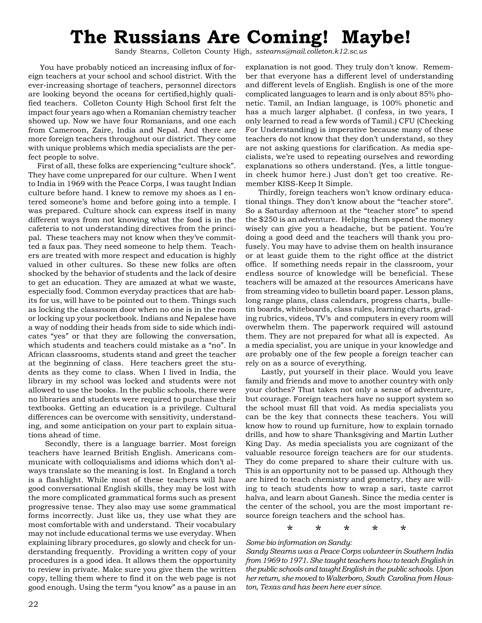## **The Russians Are Coming! Maybe!**

Sandy Stearns, Colleton County High, *sstearns@mail.colleton.k12.sc.us*

 You have probably noticed an increasing influx of foreign teachers at your school and school district. With the ever-increasing shortage of teachers, personnel directors are looking beyond the oceans for certified,highly qualified teachers. Colleton County High School first felt the impact four years ago when a Romanian chemistry teacher showed up. Now we have four Romanians, and one each from Cameroon, Zaire, India and Nepal. And there are more foreign teachers throughout our district. They come with unique problems which media specialists are the perfect people to solve.

 First of all, these folks are experiencing "culture shock". They have come unprepared for our culture. When I went to India in 1969 with the Peace Corps, I was taught Indian culture before hand. I knew to remove my shoes as I entered someone's home and before going into a temple. I was prepared. Culture shock can express itself in many different ways from not knowing what the food is in the cafeteria to not understanding directives from the principal. These teachers may not know when they've committed a faux pas. They need someone to help them. Teachers are treated with more respect and education is highly valued in other cultures. So these new folks are often shocked by the behavior of students and the lack of desire to get an education. They are amazed at what we waste, especially food. Common everyday practices that are habits for us, will have to be pointed out to them. Things such as locking the classroom door when no one is in the room or locking up your pocketbook. Indians and Nepalese have a way of nodding their heads from side to side which indicates "yes" or that they are following the conversation, which students and teachers could mistake as a "no". In African classrooms, students stand and greet the teacher at the beginning of class. Here teachers greet the students as they come to class. When I lived in India, the library in my school was locked and students were not allowed to use the books. In the public schools, there were no libraries and students were required to purchase their textbooks. Getting an education is a privilege. Cultural differences can be overcome with sensitivity, understanding, and some anticipation on your part to explain situations ahead of time.

 Secondly, there is a language barrier. Most foreign teachers have learned British English. Americans communicate with colloquialisms and idioms which don't always translate so the meaning is lost. In England a torch is a flashlight. While most of these teachers will have good conversational English skills, they may be lost with the more complicated grammatical forms such as present progressive tense. They also may use some grammatical forms incorrectly. Just like us, they use what they are most comfortable with and understand. Their vocabulary may not include educational terms we use everyday. When explaining library procedures, go slowly and check for understanding frequently. Providing a written copy of your procedures is a good idea. It allows them the opportunity to review in private. Make sure you give them the written copy, telling them where to find it on the web page is not good enough. Using the term "you know" as a pause in an

explanation is not good. They truly don't know. Remember that everyone has a different level of understanding and different levels of English. English is one of the more complicated languages to learn and is only about 85% phonetic. Tamil, an Indian language, is 100% phonetic and has a much larger alphabet. (I confess, in two years, I only learned to read a few words of Tamil.) CFU (Checking For Understanding) is imperative because many of these teachers do not know that they don't understand, so they are not asking questions for clarification. As media specialists, we're used to repeating ourselves and rewording explanations so others understand. (Yes, a little tonguein cheek humor here.) Just don't get too creative. Remember KISS-Keep It Simple.

 Thirdly, foreign teachers won't know ordinary educational things. They don't know about the "teacher store". So a Saturday afternoon at the "teacher store" to spend the \$250 is an adventure. Helping them spend the money wisely can give you a headache, but be patient. You're doing a good deed and the teachers will thank you profusely. You may have to advise them on health insurance or at least guide them to the right office at the district office. If something needs repair in the classroom, your endless source of knowledge will be beneficial. These teachers will be amazed at the resources Americans have from streaming video to bulletin board paper. Lesson plans, long range plans, class calendars, progress charts, bulletin boards, whiteboards, class rules, learning charts, grading rubrics, videos, TV's and computers in every room will overwhelm them. The paperwork required will astound them. They are not prepared for what all is expected. As a media specialist, you are unique in your knowledge and are probably one of the few people a foreign teacher can rely on as a source of everything.

 Lastly, put yourself in their place. Would you leave family and friends and move to another country with only your clothes? That takes not only a sense of adventure, but courage. Foreign teachers have no support system so the school must fill that void. As media specialists you can be the key that connects these teachers. You will know how to round up furniture, how to explain tornado drills, and how to share Thanksgiving and Martin Luther King Day. As media specialists you are cognizant of the valuable resource foreign teachers are for our students. They do come prepared to share their culture with us. This is an opportunity not to be passed up. Although they are hired to teach chemistry and geometry, they are willing to teach students how to wrap a sari, taste carrot halva, and learn about Ganesh. Since the media center is the center of the school, you are the most important resource foreign teachers and the school has.

$$
\star\quad\star\quad\star\quad\star\quad\star
$$

#### *Some bio information on Sandy:*

*Sandy Stearns was a Peace Corps volunteer in Southern India from 1969 to 1971. She taught teachers how to teach English in the public schools and taught English in the public schools. Upon her return, she moved to Walterboro, South Carolina from Houston, Texas and has been here ever since.*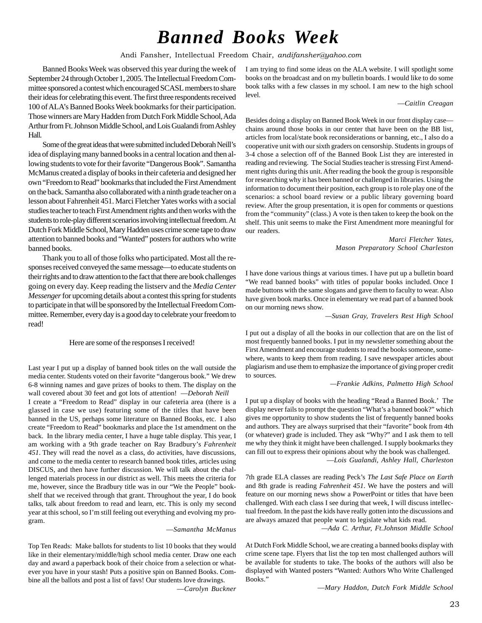### *Banned Books Week*

Andi Fansher, Intellectual Freedom Chair, *andifansher@yahoo.com*

Banned Books Week was observed this year during the week of September 24 through October 1, 2005. The Intellectual Freedom Committee sponsored a contest which encouraged SCASL members to share their ideas for celebrating this event. The first three respondents received 100 of ALA's Banned Books Week bookmarks for their participation. Those winners are Mary Hadden from Dutch Fork Middle School, Ada Arthur from Ft. Johnson Middle School, and Lois Gualandi from Ashley Hall.

Some of the great ideas that were submitted included Deborah Neill's idea of displaying many banned books in a central location and then allowing students to vote for their favorite "Dangerous Book". Samantha McManus created a display of books in their cafeteria and designed her own "Freedom to Read" bookmarks that included the First Amendment on the back. Samantha also collaborated with a ninth grade teacher on a lesson about Fahrenheit 451. Marci Fletcher Yates works with a social studies teacher to teach First Amendment rights and then works with the students to role-play different scenarios involving intellectual freedom. At Dutch Fork Middle School, Mary Hadden uses crime scene tape to draw attention to banned books and "Wanted" posters for authors who write banned books.

Thank you to all of those folks who participated. Most all the responses received conveyed the same message—to educate students on their rights and to draw attention to the fact that there are book challenges going on every day. Keep reading the listserv and the *Media Center Messenger* for upcoming details about a contest this spring for students to participate in that will be sponsored by the Intellectual Freedom Committee. Remember, every day is a good day to celebrate your freedom to read!

Here are some of the responses I received!

Last year I put up a display of banned book titles on the wall outside the media center. Students voted on their favorite "dangerous book." We drew 6-8 winning names and gave prizes of books to them. The display on the wall covered about 30 feet and got lots of attention! —*Deborah Neill* I create a "Freedom to Read" display in our cafeteria area (there is a glassed in case we use) featuring some of the titles that have been banned in the US, perhaps some literature on Banned Books, etc. I also create "Freedom to Read" bookmarks and place the 1st amendment on the back. In the library media center, I have a huge table display. This year, I am working with a 9th grade teacher on Ray Bradbury's *Fahrenheit 451*. They will read the novel as a class, do activities, have discussions, and come to the media center to research banned book titles, articles using DISCUS, and then have further discussion. We will talk about the challenged materials process in our district as well. This meets the criteria for me, however, since the Bradbury title was in our "We the People" bookshelf that we received through that grant. Throughout the year, I do book talks, talk about freedom to read and learn, etc. This is only my second year at this school, so I'm still feeling out everything and evolving my program.

—*Samantha McManus*

Top Ten Reads: Make ballots for students to list 10 books that they would like in their elementary/middle/high school media center. Draw one each day and award a paperback book of their choice from a selection or whatever you have in your stash! Puts a positive spin on Banned Books. Combine all the ballots and post a list of favs! Our students love drawings.

—*Carolyn Buckner*

I am trying to find some ideas on the ALA website. I will spotlight some books on the broadcast and on my bulletin boards. I would like to do some book talks with a few classes in my school. I am new to the high school level.

—*Caitlin Creagan*

Besides doing a display on Banned Book Week in our front display case chains around those books in our center that have been on the BB list, articles from local/state book reconsiderations or banning, etc., I also do a cooperative unit with our sixth graders on censorship. Students in groups of 3-4 chose a selection off of the Banned Book List they are interested in reading and reviewing. The Social Studies teacher is stressing First Amendment rights during this unit. After reading the book the group is responsible for researching why it has been banned or challenged in libraries. Using the information to document their position, each group is to role play one of the scenarios: a school board review or a public library governing board review. After the group presentation, it is open for comments or questions from the "community" (class.) A vote is then taken to keep the book on the shelf. This unit seems to make the First Amendment more meaningful for our readers.

> *Marci Fletcher Yates, Mason Preparatory School Charleston*

I have done various things at various times. I have put up a bulletin board "We read banned books" with titles of popular books included. Once I made buttons with the same slogans and gave them to faculty to wear. Also have given book marks. Once in elementary we read part of a banned book on our morning news show.

*—Susan Gray, Travelers Rest High School*

I put out a display of all the books in our collection that are on the list of most frequently banned books. I put in my newsletter something about the First Amendment and encourage students to read the books someone, somewhere, wants to keep them from reading. I save newspaper articles about plagiarism and use them to emphasize the importance of giving proper credit to sources.

*—Frankie Adkins, Palmetto High School*

I put up a display of books with the heading "Read a Banned Book.' The display never fails to prompt the question "What's a banned book?" which gives me opportunity to show students the list of frequently banned books and authors. They are always surprised that their "favorite" book from 4th (or whatever) grade is included. They ask "Why?" and I ask them to tell me why they think it might have been challenged. I supply bookmarks they can fill out to express their opinions about why the book was challenged. —*Lois Gualandi, Ashley Hall, Charleston*

7th grade ELA classes are reading Peck's *The Last Safe Place on Earth* and 8th grade is reading *Fahrenheit 451*. We have the posters and will feature on our morning news show a PowerPoint or titles that have been challenged. With each class I see during that week, I will discuss intellectual freedom. In the past the kids have really gotten into the discussions and are always amazed that people want to legislate what kids read.

*—Ada C. Arthur, Ft.Johnson Middle School*

At Dutch Fork Middle School, we are creating a banned books display with crime scene tape. Flyers that list the top ten most challenged authors will be available for students to take. The books of the authors will also be displayed with Wanted posters "Wanted: Authors Who Write Challenged Books."

—*Mary Haddon, Dutch Fork Middle School*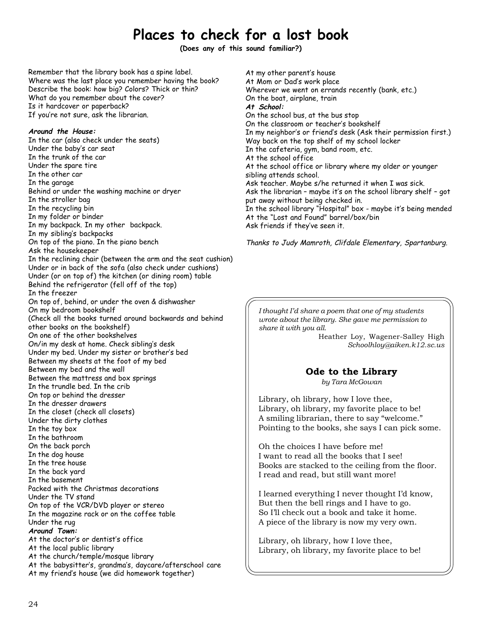### **Places to check for a lost book**

**(Does any of this sound familiar?)**

Remember that the library book has a spine label. Where was the last place you remember having the book? Describe the book: how big? Colors? Thick or thin? What do you remember about the cover? Is it hardcover or paperback? If you're not sure, ask the librarian.

#### **Around the House:**

In the car (also check under the seats) Under the baby's car seat In the trunk of the car Under the spare tire In the other car In the garage Behind or under the washing machine or dryer In the stroller bag In the recycling bin In my folder or binder In my backpack. In my other backpack. In my sibling's backpacks On top of the piano. In the piano bench Ask the housekeeper In the reclining chair (between the arm and the seat cushion) Under or in back of the sofa (also check under cushions) Under (or on top of) the kitchen (or dining room) table Behind the refrigerator (fell off of the top) In the freezer On top of, behind, or under the oven & dishwasher On my bedroom bookshelf (Check all the books turned around backwards and behind other books on the bookshelf) On one of the other bookshelves On/in my desk at home. Check sibling's desk Under my bed. Under my sister or brother's bed Between my sheets at the foot of my bed Between my bed and the wall Between the mattress and box springs In the trundle bed. In the crib On top or behind the dresser In the dresser drawers In the closet (check all closets) Under the dirty clothes In the toy box In the bathroom On the back porch In the dog house In the tree house In the back yard In the basement Packed with the Christmas decorations Under the TV stand On top of the VCR/DVD player or stereo In the magazine rack or on the coffee table Under the rug **Around Town:** At the doctor's or dentist's office At the local public library At the church/temple/mosque library At the babysitter's, grandma's, daycare/afterschool care At my friend's house (we did homework together)

At my other parent's house At Mom or Dad's work place Wherever we went on errands recently (bank, etc.) On the boat, airplane, train **At School:** On the school bus, at the bus stop On the classroom or teacher's bookshelf In my neighbor's or friend's desk (Ask their permission first.) Way back on the top shelf of my school locker In the cafeteria, gym, band room, etc. At the school office At the school office or library where my older or younger sibling attends school. Ask teacher. Maybe s/he returned it when I was sick. Ask the librarian – maybe it's on the school library shelf – got put away without being checked in. In the school library "Hospital" box - maybe it's being mended At the "Lost and Found" barrel/box/bin

Thanks to Judy Mamroth, Clifdale Elementary, Spartanburg.

Ask friends if they've seen it.

*I thought I'd share a poem that one of my students wrote about the library. She gave me permission to share it with you all.*

Heather Loy, Wagener-Salley High *Schoolhloy@aiken.k12.sc.us*

#### **Ode to the Library**

*by Tara McGowan*

Library, oh library, how I love thee, Library, oh library, my favorite place to be! A smiling librarian, there to say "welcome." Pointing to the books, she says I can pick some.

Oh the choices I have before me! I want to read all the books that I see! Books are stacked to the ceiling from the floor. I read and read, but still want more!

I learned everything I never thought I'd know, But then the bell rings and I have to go. So I'll check out a book and take it home. A piece of the library is now my very own.

Library, oh library, how I love thee, Library, oh library, my favorite place to be!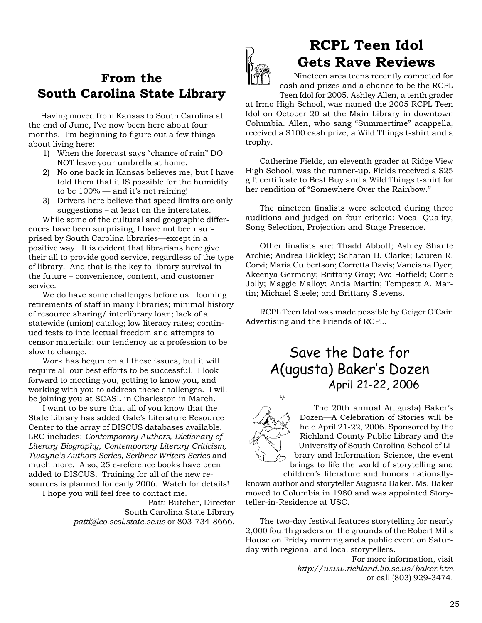### **From the South Carolina State Library**

Having moved from Kansas to South Carolina at the end of June, I've now been here about four months. I'm beginning to figure out a few things about living here:

- 1) When the forecast says "chance of rain" DO NOT leave your umbrella at home.
- 2) No one back in Kansas believes me, but I have told them that it IS possible for the humidity to be 100% — and it's not raining!
- 3) Drivers here believe that speed limits are only suggestions – at least on the interstates.

While some of the cultural and geographic differences have been surprising, I have not been surprised by South Carolina libraries—except in a positive way. It is evident that librarians here give their all to provide good service, regardless of the type of library. And that is the key to library survival in the future – convenience, content, and customer service.

We do have some challenges before us: looming retirements of staff in many libraries; minimal history of resource sharing/ interlibrary loan; lack of a statewide (union) catalog; low literacy rates; continued tests to intellectual freedom and attempts to censor materials; our tendency as a profession to be slow to change.

Work has begun on all these issues, but it will require all our best efforts to be successful. I look forward to meeting you, getting to know you, and working with you to address these challenges. I will be joining you at SCASL in Charleston in March.

I want to be sure that all of you know that the State Library has added Gale's Literature Resource Center to the array of DISCUS databases available. LRC includes: *Contemporary Authors, Dictionary of Literary Biography, Contemporary Literary Criticism, Twayne's Authors Series, Scribner Writers Series* and much more. Also, 25 e-reference books have been added to DISCUS. Training for all of the new resources is planned for early 2006. Watch for details!

I hope you will feel free to contact me.

Patti Butcher, Director South Carolina State Library  *patti@leo.scsl.state.sc.us* or 803-734-8666.



### **RCPL Teen Idol Gets Rave Reviews**

Nineteen area teens recently competed for cash and prizes and a chance to be the RCPL

Teen Idol for 2005. Ashley Allen, a tenth grader at Irmo High School, was named the 2005 RCPL Teen Idol on October 20 at the Main Library in downtown Columbia. Allen, who sang "Summertime" acappella, received a \$100 cash prize, a Wild Things t-shirt and a trophy.

Catherine Fields, an eleventh grader at Ridge View High School, was the runner-up. Fields received a \$25 gift certificate to Best Buy and a Wild Things t-shirt for her rendition of "Somewhere Over the Rainbow."

The nineteen finalists were selected during three auditions and judged on four criteria: Vocal Quality, Song Selection, Projection and Stage Presence.

Other finalists are: Thadd Abbott; Ashley Shante Archie; Andrea Bickley; Scharan B. Clarke; Lauren R. Corvi; Maria Culbertson; Corretta Davis; Vaneisha Dyer; Akeenya Germany; Brittany Gray; Ava Hatfield; Corrie Jolly; Maggie Malloy; Antia Martin; Tempestt A. Martin; Michael Steele; and Brittany Stevens.

RCPL Teen Idol was made possible by Geiger O'Cain Advertising and the Friends of RCPL.

### Save the Date for A(ugusta) Baker's Dozen April 21-22, 2006 ΣÎ,



known author and storyteller Augusta Baker. Ms. Baker moved to Columbia in 1980 and was appointed Storyteller-in-Residence at USC.

The two-day festival features storytelling for nearly 2,000 fourth graders on the grounds of the Robert Mills House on Friday morning and a public event on Saturday with regional and local storytellers.

> For more information, visit *http://www.richland.lib.sc.us/baker.htm* or call (803) 929-3474.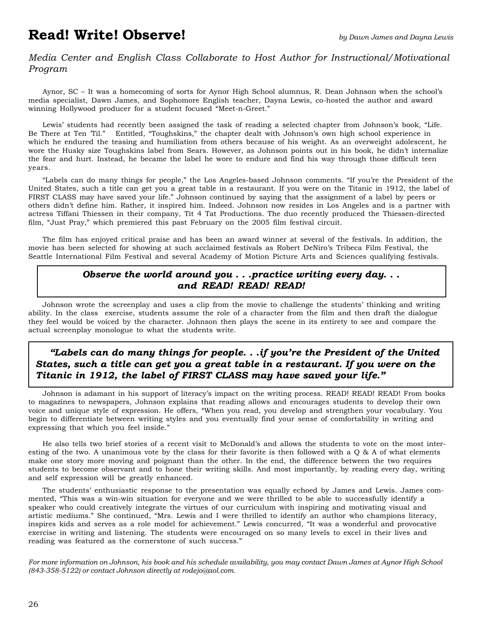### **Read! Write! Observe!** *by Dawn James and Dayna Lewis*

#### *Media Center and English Class Collaborate to Host Author for Instructional/Motivational Program*

Aynor, SC – It was a homecoming of sorts for Aynor High School alumnus, R. Dean Johnson when the school's media specialist, Dawn James, and Sophomore English teacher, Dayna Lewis, co-hosted the author and award winning Hollywood producer for a student focused "Meet-n-Greet."

Lewis' students had recently been assigned the task of reading a selected chapter from Johnson's book, "Life.<br>Be There at Ten 'Til." Entitled. "Toughskins," the chapter dealt with Johnson's own high school experience in Entitled, "Toughskins," the chapter dealt with Johnson's own high school experience in which he endured the teasing and humiliation from others because of his weight. As an overweight adolescent, he wore the Husky size Toughskins label from Sears. However, as Johnson points out in his book, he didn't internalize the fear and hurt. Instead, he became the label he wore to endure and find his way through those difficult teen years.

"Labels can do many things for people," the Los Angeles-based Johnson comments. "If you're the President of the United States, such a title can get you a great table in a restaurant. If you were on the Titanic in 1912, the label of FIRST CLASS may have saved your life." Johnson continued by saying that the assignment of a label by peers or others didn't define him. Rather, it inspired him. Indeed. Johnson now resides in Los Angeles and is a partner with actress Tiffani Thiessen in their company, Tit 4 Tat Productions. The duo recently produced the Thiessen-directed film, "Just Pray," which premiered this past February on the 2005 film festival circuit.

The film has enjoyed critical praise and has been an award winner at several of the festivals. In addition, the movie has been selected for showing at such acclaimed festivals as Robert DeNiro's Tribeca Film Festival, the Seattle International Film Festival and several Academy of Motion Picture Arts and Sciences qualifying festivals.

#### *Observe the world around you . . .practice writing every day. . . and READ! READ! READ!*

Johnson wrote the screenplay and uses a clip from the movie to challenge the students' thinking and writing ability. In the class exercise, students assume the role of a character from the film and then draft the dialogue they feel would be voiced by the character. Johnson then plays the scene in its entirety to see and compare the actual screenplay monologue to what the students write.

#### *"Labels can do many things for people. . .if you're the President of the United States, such a title can get you a great table in a restaurant. If you were on the Titanic in 1912, the label of FIRST CLASS may have saved your life."*

Johnson is adamant in his support of literacy's impact on the writing process. READ! READ! READ! From books to magazines to newspapers, Johnson explains that reading allows and encourages students to develop their own voice and unique style of expression. He offers, "When you read, you develop and strengthen your vocabulary. You begin to differentiate between writing styles and you eventually find your sense of comfortability in writing and expressing that which you feel inside."

He also tells two brief stories of a recent visit to McDonald's and allows the students to vote on the most interesting of the two. A unanimous vote by the class for their favorite is then followed with a Q & A of what elements make one story more moving and poignant than the other. In the end, the difference between the two requires students to become observant and to hone their writing skills. And most importantly, by reading every day, writing and self expression will be greatly enhanced.

The students' enthusiastic response to the presentation was equally echoed by James and Lewis. James commented, "This was a win-win situation for everyone and we were thrilled to be able to successfully identify a speaker who could creatively integrate the virtues of our curriculum with inspiring and motivating visual and artistic mediums." She continued, "Mrs. Lewis and I were thrilled to identify an author who champions literacy, inspires kids and serves as a role model for achievement." Lewis concurred, "It was a wonderful and provocative exercise in writing and listening. The students were encouraged on so many levels to excel in their lives and reading was featured as the cornerstone of such success."

*For more information on Johnson, his book and his schedule availability, you may contact Dawn James at Aynor High School (843-358-5122) or contact Johnson directly at rodejo@aol.com.*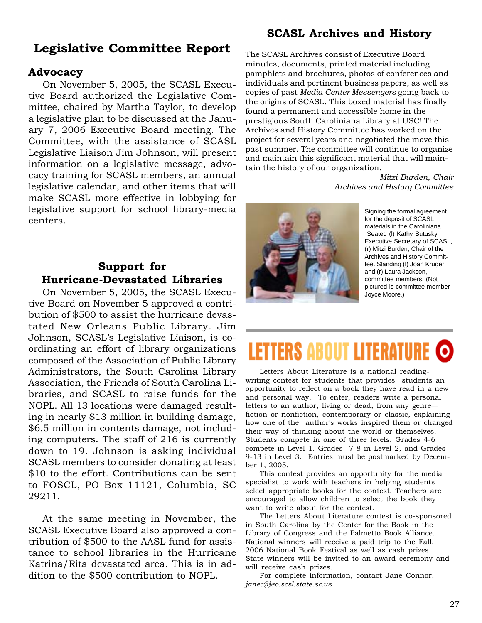### **Legislative Committee Report**

#### **Advocacy**

On November 5, 2005, the SCASL Executive Board authorized the Legislative Committee, chaired by Martha Taylor, to develop a legislative plan to be discussed at the January 7, 2006 Executive Board meeting. The Committee, with the assistance of SCASL Legislative Liaison Jim Johnson, will present information on a legislative message, advocacy training for SCASL members, an annual legislative calendar, and other items that will make SCASL more effective in lobbying for legislative support for school library-media centers.

#### **Support for Hurricane-Devastated Libraries**

On November 5, 2005, the SCASL Executive Board on November 5 approved a contribution of \$500 to assist the hurricane devastated New Orleans Public Library. Jim Johnson, SCASL's Legislative Liaison, is coordinating an effort of library organizations composed of the Association of Public Library Administrators, the South Carolina Library Association, the Friends of South Carolina Libraries, and SCASL to raise funds for the NOPL. All 13 locations were damaged resulting in nearly \$13 million in building damage, \$6.5 million in contents damage, not including computers. The staff of 216 is currently down to 19. Johnson is asking individual SCASL members to consider donating at least \$10 to the effort. Contributions can be sent to FOSCL, PO Box 11121, Columbia, SC 29211.

At the same meeting in November, the SCASL Executive Board also approved a contribution of \$500 to the AASL fund for assistance to school libraries in the Hurricane Katrina/Rita devastated area. This is in addition to the \$500 contribution to NOPL.

#### **SCASL Archives and History**

The SCASL Archives consist of Executive Board minutes, documents, printed material including pamphlets and brochures, photos of conferences and individuals and pertinent business papers, as well as copies of past *Media Center Messengers* going back to the origins of SCASL. This boxed material has finally found a permanent and accessible home in the prestigious South Caroliniana Library at USC! The Archives and History Committee has worked on the project for several years and negotiated the move this past summer. The committee will continue to organize and maintain this significant material that will maintain the history of our organization.

> *Mitzi Burden, Chair Archives and History Committee*



Signing the formal agreement for the deposit of SCASL materials in the Caroliniana. Seated (l) Kathy Sutusky, Executive Secretary of SCASL, (r) Mitzi Burden, Chair of the Archives and History Committee. Standing (l) Joan Kruger and (r) Laura Jackson, committee members. (Not pictured is committee member Joyce Moore.)

## **LETTERS ABOUT LITERATURE ©**

Letters About Literature is a national readingwriting contest for students that provides students an opportunity to reflect on a book they have read in a new and personal way. To enter, readers write a personal letters to an author, living or dead, from any genre fiction or nonfiction, contemporary or classic, explaining how one of the author's works inspired them or changed their way of thinking about the world or themselves. Students compete in one of three levels. Grades 4-6 compete in Level 1. Grades 7-8 in Level 2, and Grades 9-13 in Level 3. Entries must be postmarked by December 1, 2005.

This contest provides an opportunity for the media specialist to work with teachers in helping students select appropriate books for the contest. Teachers are encouraged to allow children to select the book they want to write about for the contest.

The Letters About Literature contest is co-sponsored in South Carolina by the Center for the Book in the Library of Congress and the Palmetto Book Alliance. National winners will receive a paid trip to the Fall, 2006 National Book Festival as well as cash prizes. State winners will be invited to an award ceremony and will receive cash prizes.

For complete information, contact Jane Connor, *janec@leo.scsl.state.sc.us*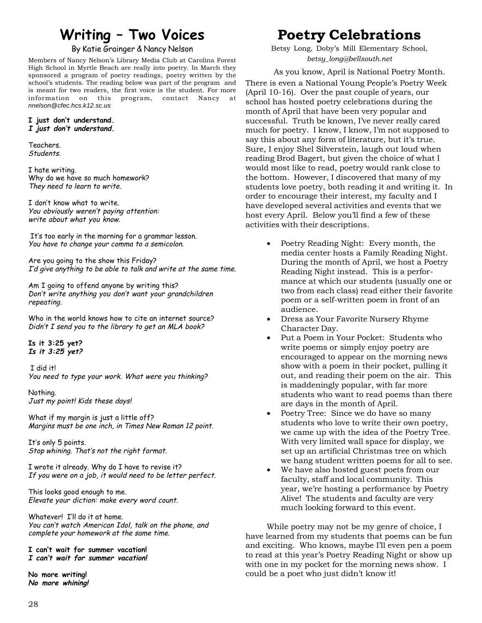### **Writing – Two Voices**

#### By Katie Grainger & Nancy Nelson

Members of Nancy Nelson's Library Media Club at Carolina Forest High School in Myrtle Beach are really into poetry. In March they sponsored a program of poetry readings, poetry written by the school's students. The reading below was part of the program and is meant for two readers, the first voice is the student. For more information on this program, contact Nancy at *nnelson@cfec.hcs.k12.sc.us*

#### **I just don't understand. I just don't understand.**

Teachers. Students.

I hate writing. Why do we have so much homework? They need to learn to write.

I don't know what to write. You obviously weren't paying attention: write about what you know.

 It's too early in the morning for a grammar lesson. You have to change your comma to a semicolon.

Are you going to the show this Friday? I'd give anything to be able to talk and write at the same time.

Am I going to offend anyone by writing this? Don't write anything you don't want your grandchildren repeating.

Who in the world knows how to cite an internet source? Didn't I send you to the library to get an MLA book?

#### **Is it 3:25 yet? Is it 3:25 yet?**

 I did it! You need to type your work. What were you thinking?

Nothing. Just my point! Kids these days!

What if my margin is just a little off? Margins must be one inch, in Times New Roman 12 point.

It's only 5 points. Stop whining. That's not the right format.

I wrote it already. Why do I have to revise it? If you were on a job, it would need to be letter perfect.

This looks good enough to me. Elevate your diction: make every word count.

Whatever! I'll do it at home. You can't watch American Idol, talk on the phone, and complete your homework at the same time.

**I can't wait for summer vacation! I can't wait for summer vacation!**

**No more writing! No more whining!**

### **Poetry Celebrations**

Betsy Long, Doby's Mill Elementary School, *betsy\_long@bellsouth.net*

As you know, April is National Poetry Month.

There is even a National Young People's Poetry Week (April 10-16). Over the past couple of years, our school has hosted poetry celebrations during the month of April that have been very popular and successful. Truth be known, I've never really cared much for poetry. I know, I know, I'm not supposed to say this about any form of literature, but it's true. Sure, I enjoy Shel Silverstein, laugh out loud when reading Brod Bagert, but given the choice of what I would most like to read, poetry would rank close to the bottom. However, I discovered that many of my students love poetry, both reading it and writing it. In order to encourage their interest, my faculty and I have developed several activities and events that we host every April. Below you'll find a few of these activities with their descriptions.

- Poetry Reading Night: Every month, the media center hosts a Family Reading Night. During the month of April, we host a Poetry Reading Night instead. This is a performance at which our students (usually one or two from each class) read either their favorite poem or a self-written poem in front of an audience.
- Dress as Your Favorite Nursery Rhyme Character Day.
- Put a Poem in Your Pocket: Students who write poems or simply enjoy poetry are encouraged to appear on the morning news show with a poem in their pocket, pulling it out, and reading their poem on the air. This is maddeningly popular, with far more students who want to read poems than there are days in the month of April.
- Poetry Tree: Since we do have so many students who love to write their own poetry, we came up with the idea of the Poetry Tree. With very limited wall space for display, we set up an artificial Christmas tree on which we hang student written poems for all to see.
- We have also hosted guest poets from our faculty, staff and local community. This year, we're hosting a performance by Poetry Alive! The students and faculty are very much looking forward to this event.

While poetry may not be my genre of choice, I have learned from my students that poems can be fun and exciting. Who knows, maybe I'll even pen a poem to read at this year's Poetry Reading Night or show up with one in my pocket for the morning news show. I could be a poet who just didn't know it!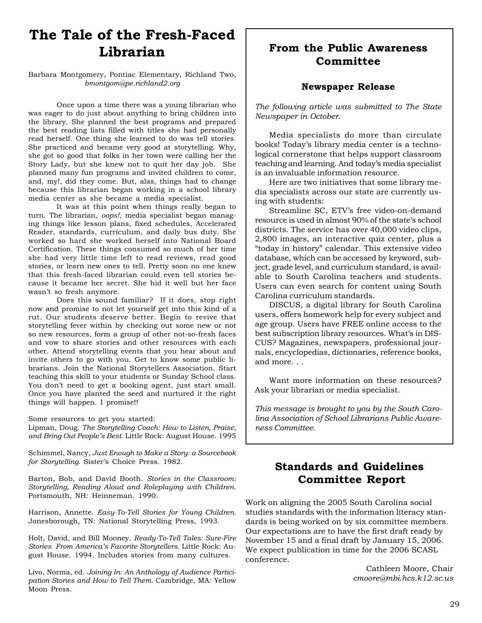# **The Tale of the Fresh-Faced**

Barbara Montgomery, Pontiac Elementary, Richland Two, *bmontgom@pe.richland2.org*

Once upon a time there was a young librarian who was eager to do just about anything to bring children into the library. She planned the best programs and prepared the best reading lists filled with titles she had personally read herself. One thing she learned to do was tell stories. She practiced and became very good at storytelling. Why, she got so good that folks in her town were calling her the Story Lady, but she knew not to quit her day job. She planned many fun programs and invited children to come, and, my!, did they come. But, alas, things had to change because this librarian began working in a school library media center as she became a media specialist.

It was at this point when things really began to turn. The librarian, *oops!*, media specialist began managing things like lesson plans, fixed schedules, Accelerated Reader, standards, curriculum, and daily bus duty. She worked so hard she worked herself into National Board Certification. These things consumed so much of her time she had very little time left to read reviews, read good stories, or learn new ones to tell. Pretty soon no one knew that this fresh-faced librarian could even tell stories because it became her secret. She hid it well but her face wasn't so fresh anymore.

Does this sound familiar? If it does, stop right now and promise to not let yourself get into this kind of a rut. Our students deserve better. Begin to revive that storytelling fever within by checking out some new or not so new resources, form a group of other not-so-fresh faces and vow to share stories and other resources with each other. Attend storytelling events that you hear about and invite others to go with you. Get to know some public librarians. Join the National Storytellers Association. Start teaching this skill to your students or Sunday School class. You don't need to get a booking agent, just start small. Once you have planted the seed and nurtured it the right things will happen. I promise!!

Some resources to get you started:

Lipman, Doug. *The Storytelling Coach: How to Listen, Praise, and Bring Out People's Best.* Little Rock: August House. 1995

Schimmel, Nancy, *Just Enough to Make a Story: a Sourcebook for Storytelling.* Sister's Choice Press. 1982*.*

Barton, Bob, and David Booth. *Stories in the Classroom: Storytelling, Reading Aloud and Roleplaying with Children.* Portsmouth, NH: Heinneman. 1990.

Harrison, Annette. *Easy-To-Tell Stories for Young Children.* Jonesborough, TN: National Storytelling Press, 1993.

Holt, David, and Bill Mooney. *Ready-To-Tell Tales: Sure-Fire Stories From America's Favorite Storytellers.* Little Rock: August House. 1994. Includes stories from many cultures.

Livo, Norma, ed. *Joining In: An Anthology of Audience Participation Stories and How to Tell Them.* Cambridge, MA: Yellow Moon Press.

#### **Librarian From the Public Awareness Committee**

#### **Newspaper Release**

*The following article was submitted to The State Newspaper in October.*

Media specialists do more than circulate books! Today's library media center is a technological cornerstone that helps support classroom teaching and learning. And today's media specialist is an invaluable information resource.

Here are two initiatives that some library media specialists across our state are currently using with students:

Streamline SC, ETV's free video-on-demand resource is used in almost 90% of the state's school districts. The service has over 40,000 video clips, 2,800 images, an interactive quiz center, plus a "today in history" calendar. This extensive video database, which can be accessed by keyword, subject, grade level, and curriculum standard, is available to South Carolina teachers and students. Users can even search for content using South Carolina curriculum standards.

DISCUS, a digital library for South Carolina users, offers homework help for every subject and age group. Users have FREE online access to the best subscription library resources. What's in DIS-CUS? Magazines, newspapers, professional journals, encyclopedias, dictionaries, reference books, and more. . .

Want more information on these resources? Ask your librarian or media specialist.

*This message is brought to you by the South Carolina Association of School Librarians Public Awareness Committee.*

### **Standards and Guidelines Committee Report**

Work on aligning the 2005 South Carolina social studies standards with the information literacy standards is being worked on by six committee members. Our expectations are to have the first draft ready by November 15 and a final draft by January 15, 2006. We expect publication in time for the 2006 SCASL conference.

> Cathleen Moore, Chair *cmoore@mbi.hcs.k12.sc.us*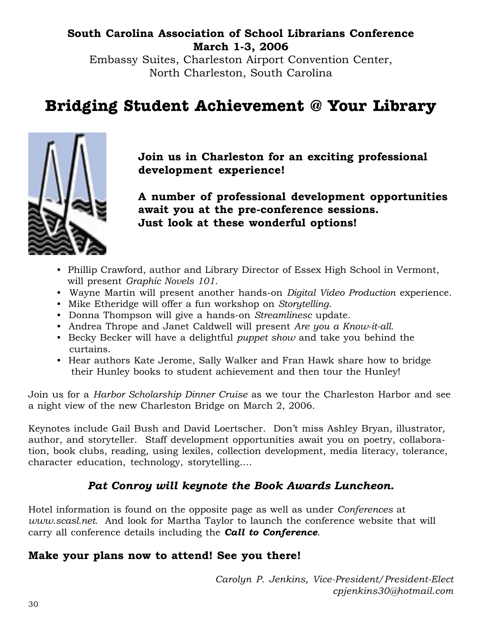### **South Carolina Association of School Librarians Conference March 1-3, 2006**

Embassy Suites, Charleston Airport Convention Center, North Charleston, South Carolina

### **Bridging Student Achievement @ Your Library**



**Join us in Charleston for an exciting professional development experience!**

**A number of professional development opportunities await you at the pre-conference sessions. Just look at these wonderful options!**

- Phillip Crawford, author and Library Director of Essex High School in Vermont, will present *Graphic Novels 101*.
- Wayne Martin will present another hands-on *Digital Video Production* experience.
- Mike Etheridge will offer a fun workshop on *Storytelling*.
- Donna Thompson will give a hands-on *Streamlinesc* update.
- Andrea Thrope and Janet Caldwell will present *Are you a Know-it-all.*
- Becky Becker will have a delightful *puppet show* and take you behind the curtains.
- Hear authors Kate Jerome, Sally Walker and Fran Hawk share how to bridge their Hunley books to student achievement and then tour the Hunley!

Join us for a *Harbor Scholarship Dinner Cruise* as we tour the Charleston Harbor and see a night view of the new Charleston Bridge on March 2, 2006.

Keynotes include Gail Bush and David Loertscher. Don't miss Ashley Bryan, illustrator, author, and storyteller. Staff development opportunities await you on poetry, collaboration, book clubs, reading, using lexiles, collection development, media literacy, tolerance, character education, technology, storytelling….

### *Pat Conroy will keynote the Book Awards Luncheon.*

Hotel information is found on the opposite page as well as under *Conferences* at *www.scasl.net.* And look for Martha Taylor to launch the conference website that will carry all conference details including the *Call to Conference*.

#### **Make your plans now to attend! See you there!**

*Carolyn P. Jenkins, Vice-President/President-Elect cpjenkins30@hotmail.com*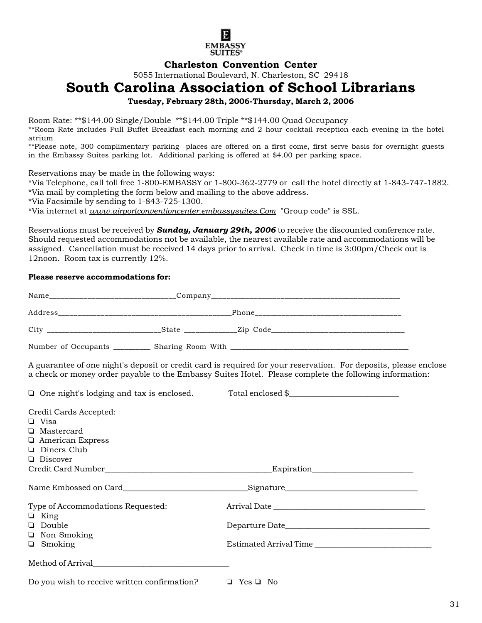#### **EMBASSY SUITES®**

#### **Charleston Convention Center**

5055 International Boulevard, N. Charleston, SC 29418

### **South Carolina Association of School Librarians**

**Tuesday, February 28th, 2006-Thursday, March 2, 2006**

Room Rate: \*\*\$144.00 Single/Double \*\*\$144.00 Triple \*\*\$144.00 Quad Occupancy

\*\*Room Rate includes Full Buffet Breakfast each morning and 2 hour cocktail reception each evening in the hotel atrium

\*\*Please note, 300 complimentary parking places are offered on a first come, first serve basis for overnight guests in the Embassy Suites parking lot. Additional parking is offered at \$4.00 per parking space.

Reservations may be made in the following ways:

\*Via Telephone, call toll free 1-800-EMBASSY or 1-800-362-2779 or call the hotel directly at 1-843-747-1882. \*Via mail by completing the form below and mailing to the above address. \*Via Facsimile by sending to 1-843-725-1300.

\*Via internet at *www.airportconventioncenter.embassysuites.Com* "Group code" is SSL.

Reservations must be received by *Sunday, January 29th, 2006* to receive the discounted conference rate. Should requested accommodations not be available, the nearest available rate and accommodations will be assigned. Cancellation must be received 14 days prior to arrival. Check in time is 3:00pm/Check out is 12noon. Room tax is currently 12%.

#### **Please reserve accommodations for:**

|                                                                                                                       | A guarantee of one night's deposit or credit card is required for your reservation. For deposits, please enclose<br>a check or money order payable to the Embassy Suites Hotel. Please complete the following information: |
|-----------------------------------------------------------------------------------------------------------------------|----------------------------------------------------------------------------------------------------------------------------------------------------------------------------------------------------------------------------|
|                                                                                                                       | One night's lodging and tax is enclosed. Total enclosed \$                                                                                                                                                                 |
| Credit Cards Accepted:<br>$\Box$ Visa<br>$\Box$ Mastercard<br><b>Express</b><br>$\Box$ Diners Club<br>$\Box$ Discover | Credit Card Number Expiration Expiration                                                                                                                                                                                   |
|                                                                                                                       |                                                                                                                                                                                                                            |
| Type of Accommodations Requested:<br>$\Box$ King                                                                      |                                                                                                                                                                                                                            |
| $\Box$ Double<br>$\Box$ Non Smoking                                                                                   |                                                                                                                                                                                                                            |
| $\Box$ Smoking                                                                                                        | Estimated Arrival Time                                                                                                                                                                                                     |
|                                                                                                                       |                                                                                                                                                                                                                            |
| Do you wish to receive written confirmation?                                                                          | $\Box$ Yes $\Box$ No                                                                                                                                                                                                       |